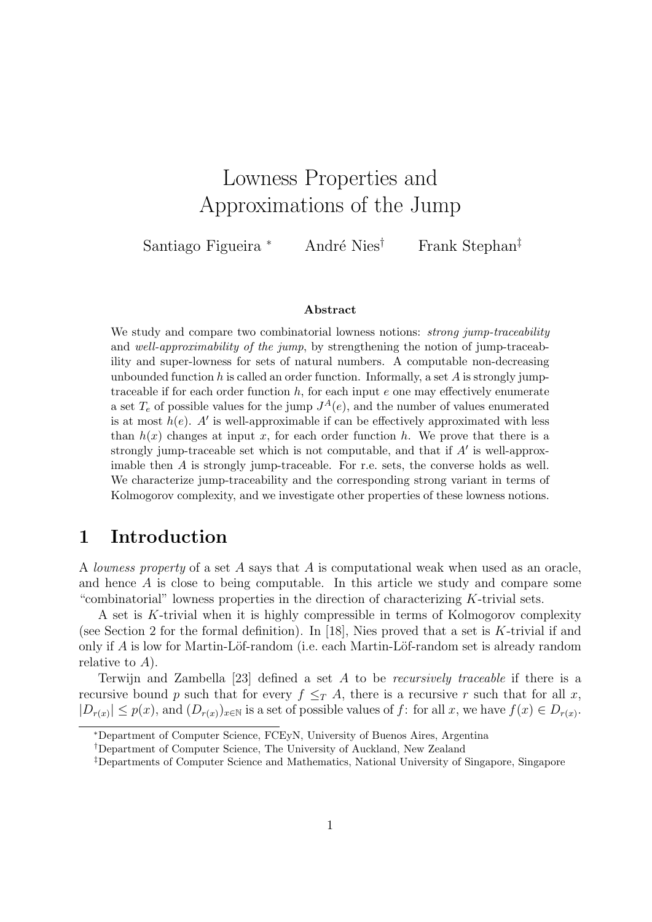# Lowness Properties and Approximations of the Jump

Santiago Figueira <sup>∗</sup> André Nies<sup>†</sup> Frank Stephan<sup>‡</sup>

#### Abstract

We study and compare two combinatorial lowness notions: *strong jump-traceability* and well-approximability of the jump, by strengthening the notion of jump-traceability and super-lowness for sets of natural numbers. A computable non-decreasing unbounded function h is called an order function. Informally, a set  $A$  is strongly jumptraceable if for each order function  $h$ , for each input  $e$  one may effectively enumerate a set  $T_e$  of possible values for the jump  $J^A(e)$ , and the number of values enumerated is at most  $h(e)$ . A' is well-approximable if can be effectively approximated with less than  $h(x)$  changes at input x, for each order function h. We prove that there is a strongly jump-traceable set which is not computable, and that if  $A'$  is well-approximable then A is strongly jump-traceable. For r.e. sets, the converse holds as well. We characterize jump-traceability and the corresponding strong variant in terms of Kolmogorov complexity, and we investigate other properties of these lowness notions.

### 1 Introduction

A lowness property of a set A says that A is computational weak when used as an oracle, and hence A is close to being computable. In this article we study and compare some "combinatorial" lowness properties in the direction of characterizing  $K$ -trivial sets.

A set is K-trivial when it is highly compressible in terms of Kolmogorov complexity (see Section 2 for the formal definition). In [18], Nies proved that a set is  $K$ -trivial if and only if A is low for Martin-Löf-random (i.e. each Martin-Löf-random set is already random relative to  $A$ ).

Terwijn and Zambella  $[23]$  defined a set A to be *recursively traceable* if there is a recursive bound p such that for every  $f \leq_T A$ , there is a recursive r such that for all x,  $|D_{r(x)}| \leq p(x)$ , and  $(D_{r(x)})_{x \in \mathbb{N}}$  is a set of possible values of f: for all x, we have  $f(x) \in D_{r(x)}$ .

<sup>∗</sup>Department of Computer Science, FCEyN, University of Buenos Aires, Argentina

<sup>†</sup>Department of Computer Science, The University of Auckland, New Zealand

<sup>‡</sup>Departments of Computer Science and Mathematics, National University of Singapore, Singapore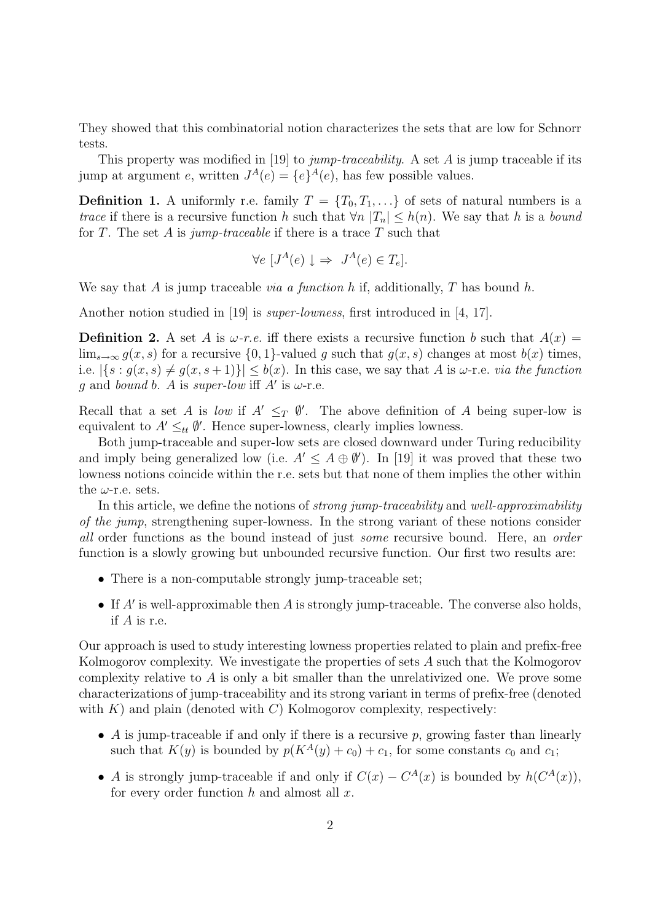They showed that this combinatorial notion characterizes the sets that are low for Schnorr tests.

This property was modified in [19] to *jump-traceability*. A set  $A$  is jump traceable if its jump at argument e, written  $J^A(e) = \{e\}^A(e)$ , has few possible values.

**Definition 1.** A uniformly r.e. family  $T = \{T_0, T_1, \ldots\}$  of sets of natural numbers is a trace if there is a recursive function h such that  $\forall n |T_n| \leq h(n)$ . We say that h is a bound for T. The set A is jump-traceable if there is a trace  $T$  such that

$$
\forall e \ [J^A(e) \downarrow \Rightarrow J^A(e) \in T_e].
$$

We say that A is jump traceable *via a function h* if, additionally, T has bound h.

Another notion studied in [19] is super-lowness, first introduced in [4, 17].

**Definition 2.** A set A is  $\omega$ -r.e. iff there exists a recursive function b such that  $A(x)$  $\lim_{s\to\infty} g(x, s)$  for a recursive  $\{0, 1\}$ -valued g such that  $g(x, s)$  changes at most  $b(x)$  times, i.e.  $|\{s : g(x, s) \neq g(x, s+1)\}| \leq b(x)$ . In this case, we say that A is  $\omega$ -r.e. *via the function* g and bound b. A is super-low iff  $A'$  is  $\omega$ -r.e.

Recall that a set A is low if  $A' \leq_T \emptyset'$ . The above definition of A being super-low is equivalent to  $A' \leq_{tt} \emptyset'$ . Hence super-lowness, clearly implies lowness.

Both jump-traceable and super-low sets are closed downward under Turing reducibility and imply being generalized low (i.e.  $A' \leq A \oplus \emptyset'$ ). In [19] it was proved that these two lowness notions coincide within the r.e. sets but that none of them implies the other within the  $\omega$ -r.e. sets.

In this article, we define the notions of *strong jump-traceability* and well-approximability of the jump, strengthening super-lowness. In the strong variant of these notions consider all order functions as the bound instead of just some recursive bound. Here, an order function is a slowly growing but unbounded recursive function. Our first two results are:

- There is a non-computable strongly jump-traceable set;
- If  $A'$  is well-approximable then  $A$  is strongly jump-traceable. The converse also holds, if  $A$  is r.e.

Our approach is used to study interesting lowness properties related to plain and prefix-free Kolmogorov complexity. We investigate the properties of sets A such that the Kolmogorov complexity relative to  $A$  is only a bit smaller than the unrelativized one. We prove some characterizations of jump-traceability and its strong variant in terms of prefix-free (denoted with  $K$ ) and plain (denoted with  $C$ ) Kolmogorov complexity, respectively:

- A is jump-traceable if and only if there is a recursive  $p$ , growing faster than linearly such that  $K(y)$  is bounded by  $p(K^A(y) + c_0) + c_1$ , for some constants  $c_0$  and  $c_1$ ;
- A is strongly jump-traceable if and only if  $C(x) C<sup>A</sup>(x)$  is bounded by  $h(C<sup>A</sup>(x))$ , for every order function  $h$  and almost all  $x$ .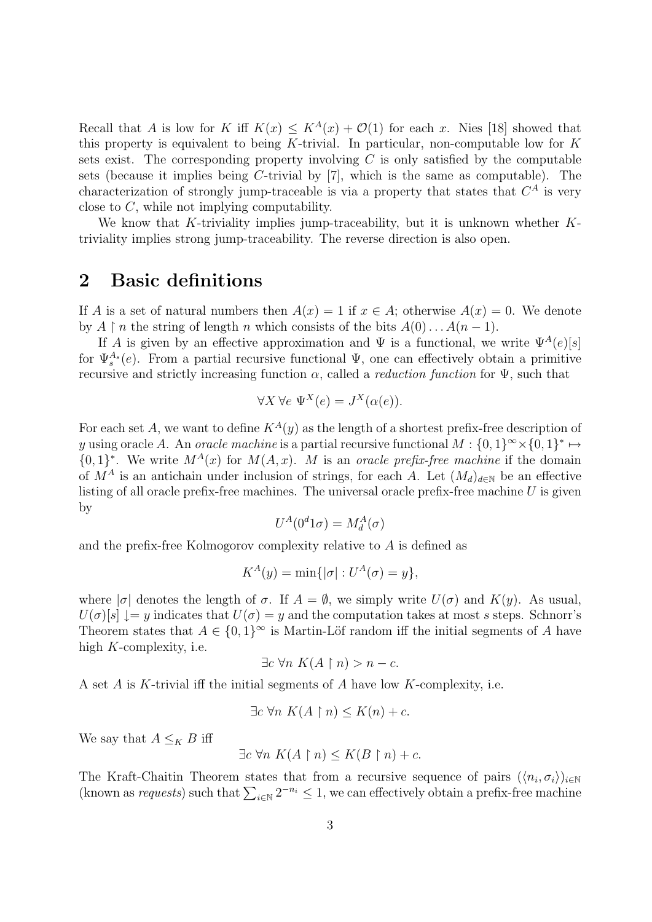Recall that A is low for K iff  $K(x) \leq K^A(x) + \mathcal{O}(1)$  for each x. Nies [18] showed that this property is equivalent to being K-trivial. In particular, non-computable low for  $K$ sets exist. The corresponding property involving  $C$  is only satisfied by the computable sets (because it implies being C-trivial by [7], which is the same as computable). The characterization of strongly jump-traceable is via a property that states that  $C^A$  is very close to C, while not implying computability.

We know that K-triviality implies jump-traceability, but it is unknown whether  $K$ triviality implies strong jump-traceability. The reverse direction is also open.

### 2 Basic definitions

If A is a set of natural numbers then  $A(x) = 1$  if  $x \in A$ ; otherwise  $A(x) = 0$ . We denote by  $A \restriction n$  the string of length n which consists of the bits  $A(0) \dots A(n-1)$ .

If A is given by an effective approximation and  $\Psi$  is a functional, we write  $\Psi^A(e)[s]$ for  $\Psi_s^{A_s}(e)$ . From a partial recursive functional  $\Psi$ , one can effectively obtain a primitive recursive and strictly increasing function  $\alpha$ , called a *reduction function* for  $\Psi$ , such that

$$
\forall X \,\forall e \,\, \Psi^X(e) = J^X(\alpha(e)).
$$

For each set A, we want to define  $K^A(y)$  as the length of a shortest prefix-free description of y using oracle A. An *oracle machine* is a partial recursive functional  $M: \{0,1\}^{\infty} \times \{0,1\}^* \mapsto$  $\{0,1\}^*$ . We write  $M^A(x)$  for  $M(A,x)$ . M is an oracle prefix-free machine if the domain of  $M^A$  is an antichain under inclusion of strings, for each A. Let  $(M_d)_{d\in\mathbb{N}}$  be an effective listing of all oracle prefix-free machines. The universal oracle prefix-free machine  $U$  is given by

$$
U^A(0^d 1\sigma) = M_d^A(\sigma)
$$

and the prefix-free Kolmogorov complexity relative to A is defined as

$$
K^{A}(y) = \min\{|\sigma| : U^{A}(\sigma) = y\},\
$$

where  $|\sigma|$  denotes the length of  $\sigma$ . If  $A = \emptyset$ , we simply write  $U(\sigma)$  and  $K(y)$ . As usual,  $U(\sigma)[s] \downarrow = y$  indicates that  $U(\sigma) = y$  and the computation takes at most s steps. Schnorr's Theorem states that  $A \in \{0,1\}^{\infty}$  is Martin-Löf random iff the initial segments of A have high *K*-complexity, *i.e.* 

$$
\exists c \,\forall n \, K(A \upharpoonright n) > n - c.
$$

A set A is K-trivial iff the initial segments of A have low K-complexity, i.e.

$$
\exists c \,\forall n \, K(A \upharpoonright n) \le K(n) + c.
$$

We say that  $A \leq_K B$  iff

$$
\exists c \,\forall n \, K(A \upharpoonright n) \le K(B \upharpoonright n) + c.
$$

The Kraft-Chaitin Theorem states that from a recursive sequence of pairs  $(\langle n_i, \sigma_i \rangle)_{i \in \mathbb{N}}$ (known as requests) such that  $\sum_{i\in\mathbb{N}} 2^{-n_i} \leq 1$ , we can effectively obtain a prefix-free machine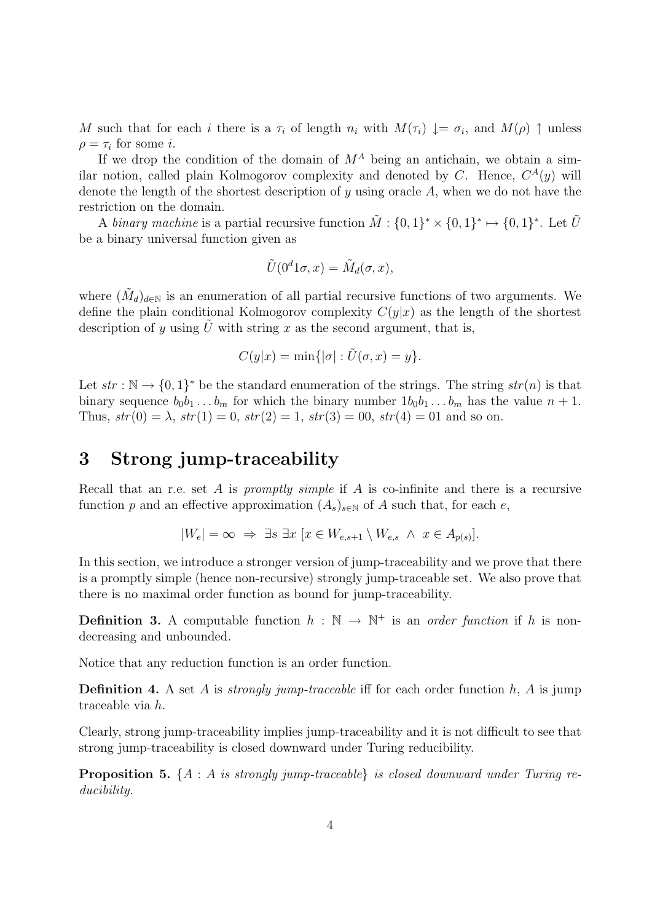M such that for each i there is a  $\tau_i$  of length  $n_i$  with  $M(\tau_i) \downarrow = \sigma_i$ , and  $M(\rho) \uparrow$  unless  $\rho = \tau_i$  for some *i*.

If we drop the condition of the domain of  $M^A$  being an antichain, we obtain a similar notion, called plain Kolmogorov complexity and denoted by C. Hence,  $C^{A}(y)$  will denote the length of the shortest description of y using oracle A, when we do not have the restriction on the domain.

A binary machine is a partial recursive function  $\tilde{M}$  :  $\{0,1\}^* \times \{0,1\}^* \mapsto \{0,1\}^*$ . Let  $\tilde{U}$ be a binary universal function given as

$$
\tilde{U}(0^d 1 \sigma, x) = \tilde{M}_d(\sigma, x),
$$

where  $(\tilde{M}_d)_{d\in\mathbb{N}}$  is an enumeration of all partial recursive functions of two arguments. We define the plain conditional Kolmogorov complexity  $C(y|x)$  as the length of the shortest description of y using  $\tilde{U}$  with string x as the second argument, that is,

$$
C(y|x) = \min\{|\sigma| : \tilde{U}(\sigma, x) = y\}.
$$

Let  $str : \mathbb{N} \to \{0,1\}^*$  be the standard enumeration of the strings. The string  $str(n)$  is that binary sequence  $b_0b_1 \ldots b_m$  for which the binary number  $1b_0b_1 \ldots b_m$  has the value  $n + 1$ . Thus,  $str(0) = \lambda$ ,  $str(1) = 0$ ,  $str(2) = 1$ ,  $str(3) = 00$ ,  $str(4) = 01$  and so on.

### 3 Strong jump-traceability

Recall that an r.e. set A is *promptly simple* if A is co-infinite and there is a recursive function p and an effective approximation  $(A_s)_{s\in\mathbb{N}}$  of A such that, for each e,

$$
|W_e| = \infty \implies \exists s \; \exists x \; [x \in W_{e,s+1} \setminus W_{e,s} \ \land \ x \in A_{p(s)}].
$$

In this section, we introduce a stronger version of jump-traceability and we prove that there is a promptly simple (hence non-recursive) strongly jump-traceable set. We also prove that there is no maximal order function as bound for jump-traceability.

**Definition 3.** A computable function  $h : \mathbb{N} \to \mathbb{N}^+$  is an *order function* if h is nondecreasing and unbounded.

Notice that any reduction function is an order function.

**Definition 4.** A set A is *strongly jump-traceable* iff for each order function  $h$ , A is jump traceable via h.

Clearly, strong jump-traceability implies jump-traceability and it is not difficult to see that strong jump-traceability is closed downward under Turing reducibility.

**Proposition 5.**  $\{A : A \text{ is strongly jump-traceable}\}$  is closed downward under Turing reducibility.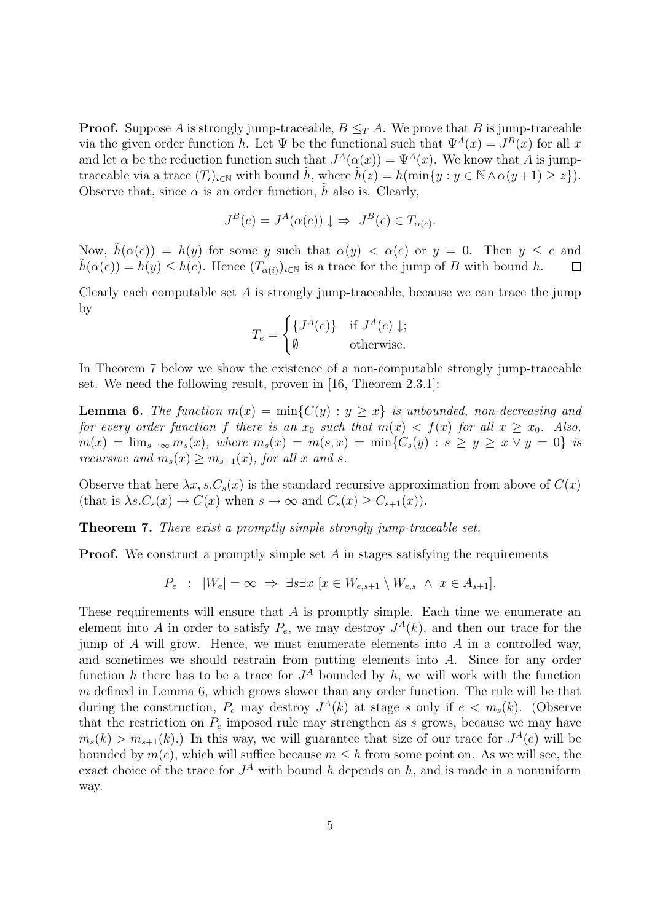**Proof.** Suppose A is strongly jump-traceable,  $B \leq_T A$ . We prove that B is jump-traceable via the given order function h. Let  $\Psi$  be the functional such that  $\Psi^A(x) = J^B(x)$  for all x and let  $\alpha$  be the reduction function such that  $J^A(\alpha(x)) = \Psi^A(x)$ . We know that A is jumptraceable via a trace  $(T_i)_{i\in\mathbb{N}}$  with bound h, where  $h(z) = h(\min\{y : y \in \mathbb{N} \wedge \alpha(y+1) \geq z\}).$ Observe that, since  $\alpha$  is an order function, h also is. Clearly,

$$
J^{B}(e) = J^{A}(\alpha(e)) \downarrow \Rightarrow J^{B}(e) \in T_{\alpha(e)}.
$$

Now,  $\tilde{h}(\alpha(e)) = h(y)$  for some y such that  $\alpha(y) < \alpha(e)$  or  $y = 0$ . Then  $y \le e$  and  $h(\alpha(e)) = h(y) \leq h(e)$ . Hence  $(T_{\alpha(i)})_{i \in \mathbb{N}}$  is a trace for the jump of B with bound h.  $\Box$ 

Clearly each computable set  $A$  is strongly jump-traceable, because we can trace the jump by

$$
T_e = \begin{cases} \{J^A(e)\} & \text{if } J^A(e) \downarrow; \\ \emptyset & \text{otherwise.} \end{cases}
$$

In Theorem 7 below we show the existence of a non-computable strongly jump-traceable set. We need the following result, proven in [16, Theorem 2.3.1]:

**Lemma 6.** The function  $m(x) = min{C(y) : y \geq x}$  is unbounded, non-decreasing and for every order function f there is an  $x_0$  such that  $m(x) < f(x)$  for all  $x \ge x_0$ . Also,  $m(x) = \lim_{s\to\infty} m_s(x)$ , where  $m_s(x) = m(s, x) = \min\{C_s(y) : s \ge y \ge x \vee y = 0\}$  is recursive and  $m_s(x) \geq m_{s+1}(x)$ , for all x and s.

Observe that here  $\lambda x, s.C_s(x)$  is the standard recursive approximation from above of  $C(x)$ (that is  $\lambda s.C_s(x) \to C(x)$  when  $s \to \infty$  and  $C_s(x) \geq C_{s+1}(x)$ ).

Theorem 7. There exist a promptly simple strongly jump-traceable set.

**Proof.** We construct a promptly simple set A in stages satisfying the requirements

$$
P_e : |W_e| = \infty \implies \exists s \exists x \ [x \in W_{e,s+1} \setminus W_{e,s} \land x \in A_{s+1}].
$$

These requirements will ensure that A is promptly simple. Each time we enumerate an element into A in order to satisfy  $P_e$ , we may destroy  $J^A(k)$ , and then our trace for the jump of  $A$  will grow. Hence, we must enumerate elements into  $A$  in a controlled way, and sometimes we should restrain from putting elements into A. Since for any order function h there has to be a trace for  $J^A$  bounded by h, we will work with the function  $m$  defined in Lemma 6, which grows slower than any order function. The rule will be that during the construction,  $P_e$  may destroy  $J^A(k)$  at stage s only if  $e < m_s(k)$ . (Observe that the restriction on  $P_e$  imposed rule may strengthen as s grows, because we may have  $m_s(k) > m_{s+1}(k)$ .) In this way, we will guarantee that size of our trace for  $J^A(e)$  will be bounded by  $m(e)$ , which will suffice because  $m \leq h$  from some point on. As we will see, the exact choice of the trace for  $J^A$  with bound h depends on h, and is made in a nonuniform way.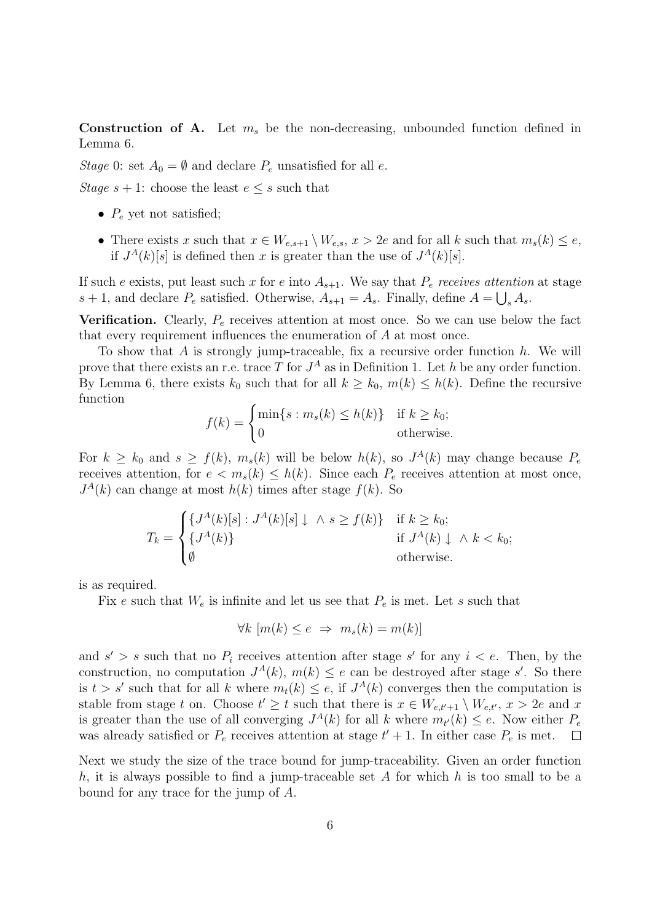**Construction of A.** Let  $m_s$  be the non-decreasing, unbounded function defined in Lemma 6.

Stage 0: set  $A_0 = \emptyset$  and declare  $P_e$  unsatisfied for all e.

Stage  $s + 1$ : choose the least  $e \leq s$  such that

- $P_e$  yet not satisfied;
- There exists x such that  $x \in W_{e,s+1} \setminus W_{e,s}$ ,  $x > 2e$  and for all k such that  $m_s(k) \leq e$ , if  $J^A(k)[s]$  is defined then x is greater than the use of  $J^A(k)[s]$ .

If such e exists, put least such x for e into  $A_{s+1}$ . We say that  $P_e$  receives attention at stage  $s + 1$ , and declare  $P_e$  satisfied. Otherwise,  $A_{s+1} = A_s$ . Finally, define  $A = \bigcup_s A_s$ .

**Verification.** Clearly,  $P_e$  receives attention at most once. So we can use below the fact that every requirement influences the enumeration of A at most once.

To show that  $A$  is strongly jump-traceable, fix a recursive order function  $h$ . We will prove that there exists an r.e. trace T for  $J^A$  as in Definition 1. Let h be any order function. By Lemma 6, there exists  $k_0$  such that for all  $k \geq k_0$ ,  $m(k) \leq h(k)$ . Define the recursive function

$$
f(k) = \begin{cases} \min\{s : m_s(k) \le h(k)\} & \text{if } k \ge k_0; \\ 0 & \text{otherwise.} \end{cases}
$$

For  $k \geq k_0$  and  $s \geq f(k)$ ,  $m_s(k)$  will be below  $h(k)$ , so  $J<sup>A</sup>(k)$  may change because  $P_e$ receives attention, for  $e < m_s(k) \le h(k)$ . Since each  $P_e$  receives attention at most once,  $J<sup>A</sup>(k)$  can change at most  $h(k)$  times after stage  $f(k)$ . So

$$
T_k = \begin{cases} \{J^A(k)[s] : J^A(k)[s] \downarrow \land s \ge f(k)\} & \text{if } k \ge k_0; \\ \{J^A(k)\} & \text{if } J^A(k) \downarrow \land k < k_0; \\ \emptyset & \text{otherwise.} \end{cases}
$$

is as required.

Fix e such that  $W_e$  is infinite and let us see that  $P_e$  is met. Let s such that

$$
\forall k \ [m(k) \le e \ \Rightarrow \ m_s(k) = m(k)]
$$

and  $s' > s$  such that no  $P_i$  receives attention after stage s' for any  $i < e$ . Then, by the construction, no computation  $J^A(k)$ ,  $m(k) \leq e$  can be destroyed after stage s'. So there is  $t > s'$  such that for all k where  $m_t(k) \leq e$ , if  $J^A(k)$  converges then the computation is stable from stage t on. Choose  $t' \geq t$  such that there is  $x \in W_{e,t'+1} \setminus W_{e,t'}$ ,  $x > 2e$  and x is greater than the use of all converging  $J^A(k)$  for all k where  $m_{t'}(k) \leq e$ . Now either  $P_e$ was already satisfied or  $P_e$  receives attention at stage  $t' + 1$ . In either case  $P_e$  is met.  $\Box$ 

Next we study the size of the trace bound for jump-traceability. Given an order function h, it is always possible to find a jump-traceable set A for which h is too small to be a bound for any trace for the jump of A.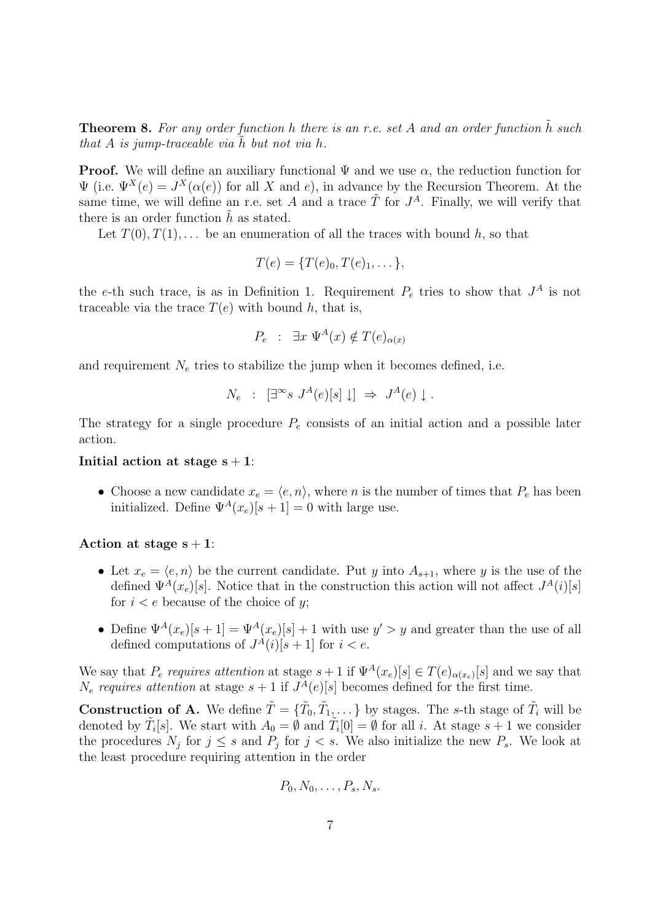**Theorem 8.** For any order function h there is an r.e. set A and an order function h such that A is jump-traceable via h but not via h.

**Proof.** We will define an auxiliary functional  $\Psi$  and we use  $\alpha$ , the reduction function for  $\Psi$  (i.e.  $\Psi^X(e) = J^X(\alpha(e))$  for all X and e), in advance by the Recursion Theorem. At the same time, we will define an r.e. set A and a trace  $\tilde{T}$  for  $J^A$ . Finally, we will verify that there is an order function  $h$  as stated.

Let  $T(0), T(1), \ldots$  be an enumeration of all the traces with bound h, so that

$$
T(e) = \{T(e)_0, T(e)_1, \dots\},\
$$

the e-th such trace, is as in Definition 1. Requirement  $P_e$  tries to show that  $J^A$  is not traceable via the trace  $T(e)$  with bound h, that is,

$$
P_e : \exists x \ \Psi^A(x) \notin T(e)_{\alpha(x)}
$$

and requirement  $N_e$  tries to stabilize the jump when it becomes defined, i.e.

$$
N_e : [\exists^{\infty} s \ J^A(e)[s] \ ] \Rightarrow J^A(e) \downarrow .
$$

The strategy for a single procedure  $P_e$  consists of an initial action and a possible later action.

#### Initial action at stage  $s + 1$ :

• Choose a new candidate  $x_e = \langle e, n \rangle$ , where n is the number of times that  $P_e$  has been initialized. Define  $\Psi^A(x_e)[s+1] = 0$  with large use.

#### Action at stage  $s + 1$ :

- Let  $x_e = \langle e, n \rangle$  be the current candidate. Put y into  $A_{s+1}$ , where y is the use of the defined  $\Psi^A(x_e)[s]$ . Notice that in the construction this action will not affect  $J^A(i)[s]$ for  $i < e$  because of the choice of y;
- Define  $\Psi^A(x_e)[s+1] = \Psi^A(x_e)[s] + 1$  with use  $y' > y$  and greater than the use of all defined computations of  $J^A(i)[s+1]$  for  $i < e$ .

We say that  $P_e$  requires attention at stage  $s+1$  if  $\Psi^A(x_e)[s] \in T(e)_{\alpha(x_e)}[s]$  and we say that  $N_e$  requires attention at stage  $s+1$  if  $J^A(e)[s]$  becomes defined for the first time.

**Construction of A.** We define  $\tilde{T} = {\{\tilde{T}_0, \tilde{T}_1, \dots\}}$  by stages. The s-th stage of  $\tilde{T}_i$  will be denoted by  $\tilde{T}_i[s]$ . We start with  $A_0 = \emptyset$  and  $\tilde{T}_i[0] = \emptyset$  for all i. At stage  $s + 1$  we consider the procedures  $N_j$  for  $j \leq s$  and  $P_j$  for  $j \leq s$ . We also initialize the new  $P_s$ . We look at the least procedure requiring attention in the order

$$
P_0, N_0, \ldots, P_s, N_s.
$$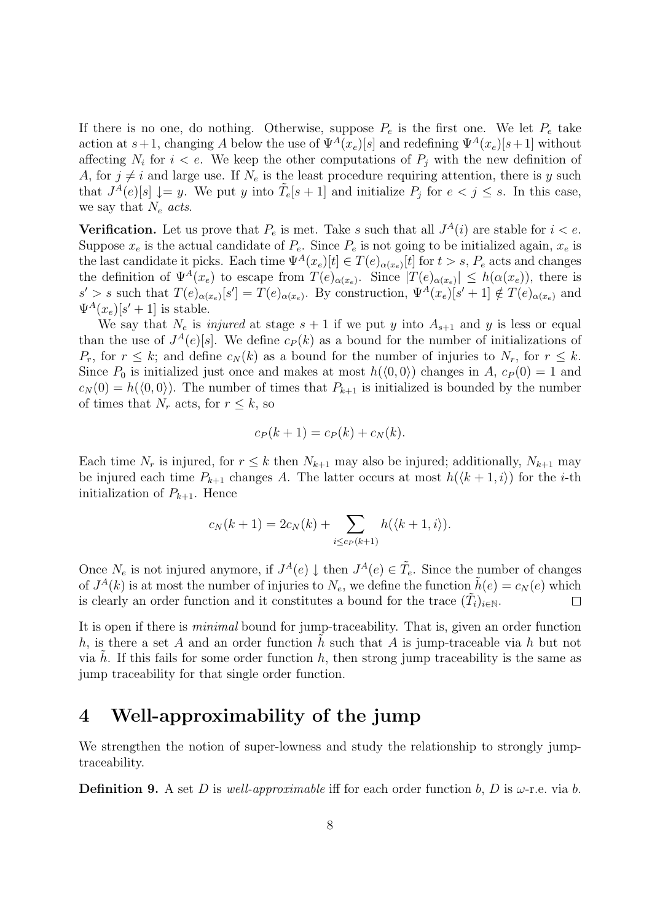If there is no one, do nothing. Otherwise, suppose  $P_e$  is the first one. We let  $P_e$  take action at  $s+1$ , changing A below the use of  $\Psi^A(x_e)[s]$  and redefining  $\Psi^A(x_e)[s+1]$  without affecting  $N_i$  for  $i < e$ . We keep the other computations of  $P_j$  with the new definition of A, for  $j \neq i$  and large use. If  $N_e$  is the least procedure requiring attention, there is y such that  $J^A(e)[s] \downarrow = y$ . We put y into  $\tilde{T}_e[s+1]$  and initialize  $P_j$  for  $e < j \leq s$ . In this case, we say that  $N_e$  acts.

**Verification.** Let us prove that  $P_e$  is met. Take s such that all  $J^A(i)$  are stable for  $i < e$ . Suppose  $x_e$  is the actual candidate of  $P_e$ . Since  $P_e$  is not going to be initialized again,  $x_e$  is the last candidate it picks. Each time  $\Psi^A(x_e)[t] \in T(e)_{\alpha(x_e)}[t]$  for  $t > s$ ,  $P_e$  acts and changes the definition of  $\Psi^A(x_e)$  to escape from  $T(e)_{\alpha(x_e)}$ . Since  $|T(e)_{\alpha(x_e)}| \leq h(\alpha(x_e))$ , there is  $s' > s$  such that  $T(e)_{\alpha(x_e)}[s'] = T(e)_{\alpha(x_e)}$ . By construction,  $\Psi^A(x_e)[s'+1] \notin T(e)_{\alpha(x_e)}$  and  $\Psi^A(x_e)[s'+1]$  is stable.

We say that  $N_e$  is *injured* at stage  $s + 1$  if we put y into  $A_{s+1}$  and y is less or equal than the use of  $J^A(e)[s]$ . We define  $c_P(k)$  as a bound for the number of initializations of  $P_r$ , for  $r \leq k$ ; and define  $c_N(k)$  as a bound for the number of injuries to  $N_r$ , for  $r \leq k$ . Since  $P_0$  is initialized just once and makes at most  $h(\langle 0, 0 \rangle)$  changes in A,  $c_P(0) = 1$  and  $c_N(0) = h(\langle 0, 0 \rangle)$ . The number of times that  $P_{k+1}$  is initialized is bounded by the number of times that  $N_r$  acts, for  $r \leq k$ , so

$$
c_P(k+1) = c_P(k) + c_N(k).
$$

Each time  $N_r$  is injured, for  $r \leq k$  then  $N_{k+1}$  may also be injured; additionally,  $N_{k+1}$  may be injured each time  $P_{k+1}$  changes A. The latter occurs at most  $h(\langle k+1, i \rangle)$  for the *i*-th initialization of  $P_{k+1}$ . Hence

$$
c_N(k+1) = 2c_N(k) + \sum_{i \le c_P(k+1)} h(\langle k+1, i \rangle).
$$

Once  $N_e$  is not injured anymore, if  $J^A(e) \downarrow$  then  $J^A(e) \in \tilde{T}_e$ . Since the number of changes of  $J^A(k)$  is at most the number of injuries to  $N_e$ , we define the function  $\tilde{h}(e) = c_N(e)$  which is clearly an order function and it constitutes a bound for the trace  $(\tilde{T}_i)_{i\in\mathbb{N}}$ .  $\Box$ 

It is open if there is minimal bound for jump-traceability. That is, given an order function h, is there a set A and an order function h such that A is jump-traceable via h but not via h. If this fails for some order function h, then strong jump traceability is the same as jump traceability for that single order function.

## 4 Well-approximability of the jump

We strengthen the notion of super-lowness and study the relationship to strongly jumptraceability.

**Definition 9.** A set D is well-approximable iff for each order function b, D is  $\omega$ -r.e. via b.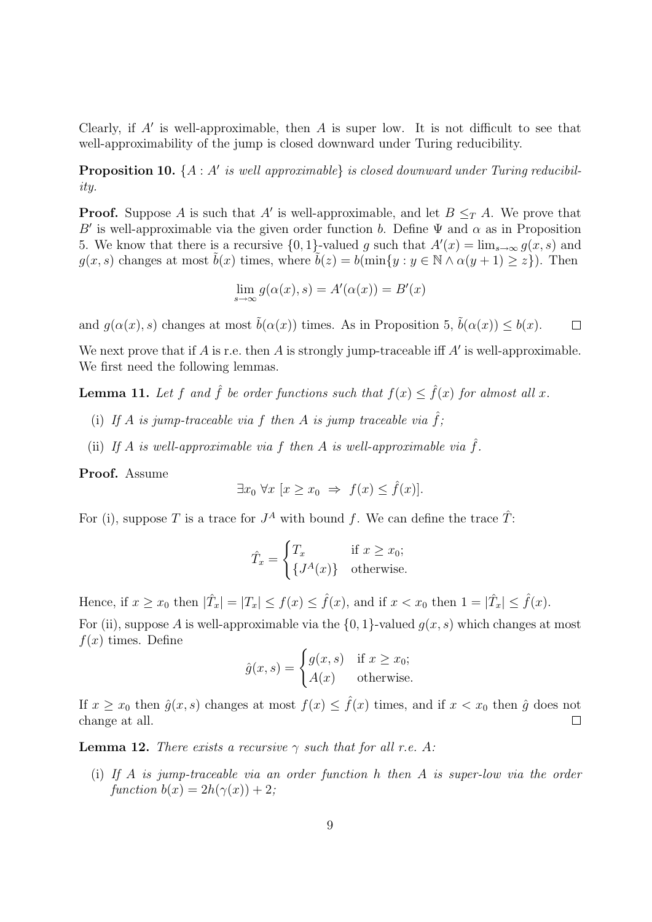Clearly, if  $A'$  is well-approximable, then  $A$  is super low. It is not difficult to see that well-approximability of the jump is closed downward under Turing reducibility.

**Proposition 10.**  $\{A : A' \text{ is well approximable}\}$  is closed downward under Turing reducibility.

**Proof.** Suppose A is such that A' is well-approximable, and let  $B \leq_T A$ . We prove that B' is well-approximable via the given order function b. Define  $\Psi$  and  $\alpha$  as in Proposition 5. We know that there is a recursive  $\{0,1\}$ -valued g such that  $A'(x) = \lim_{s\to\infty} g(x,s)$  and  $g(x, s)$  changes at most  $\tilde{b}(x)$  times, where  $\tilde{b}(z) = b(\min\{y : y \in \mathbb{N} \land \alpha(y+1) \geq z\})$ . Then

$$
\lim_{s \to \infty} g(\alpha(x), s) = A'(\alpha(x)) = B'(x)
$$

and  $q(\alpha(x), s)$  changes at most  $\tilde{b}(\alpha(x))$  times. As in Proposition 5,  $\tilde{b}(\alpha(x)) \leq b(x)$ .  $\Box$ 

We next prove that if  $A$  is r.e. then  $A$  is strongly jump-traceable iff  $A'$  is well-approximable. We first need the following lemmas.

**Lemma 11.** Let f and  $\hat{f}$  be order functions such that  $f(x) \leq \hat{f}(x)$  for almost all x.

- (i) If A is jump-traceable via f then A is jump traceable via  $\hat{f}$ ;
- (ii) If A is well-approximable via f then A is well-approximable via  $\hat{f}$ .

Proof. Assume

$$
\exists x_0 \,\forall x \ [x \ge x_0 \Rightarrow f(x) \le \hat{f}(x)].
$$

For (i), suppose T is a trace for  $J^A$  with bound f. We can define the trace  $\hat{T}$ :

$$
\hat{T}_x = \begin{cases} T_x & \text{if } x \ge x_0; \\ \{J^A(x)\} & \text{otherwise.} \end{cases}
$$

Hence, if  $x \ge x_0$  then  $|\hat{T}_x| = |T_x| \le f(x) \le \hat{f}(x)$ , and if  $x < x_0$  then  $1 = |\hat{T}_x| \le \hat{f}(x)$ .

For (ii), suppose A is well-approximable via the  $\{0, 1\}$ -valued  $g(x, s)$  which changes at most  $f(x)$  times. Define

$$
\hat{g}(x,s) = \begin{cases} g(x,s) & \text{if } x \ge x_0; \\ A(x) & \text{otherwise.} \end{cases}
$$

If  $x \ge x_0$  then  $\hat{g}(x, s)$  changes at most  $f(x) \le \hat{f}(x)$  times, and if  $x < x_0$  then  $\hat{g}$  does not change at all.  $\Box$ 

**Lemma 12.** There exists a recursive  $\gamma$  such that for all r.e. A:

(i) If A is jump-traceable via an order function h then A is super-low via the order function  $b(x) = 2h(\gamma(x)) + 2;$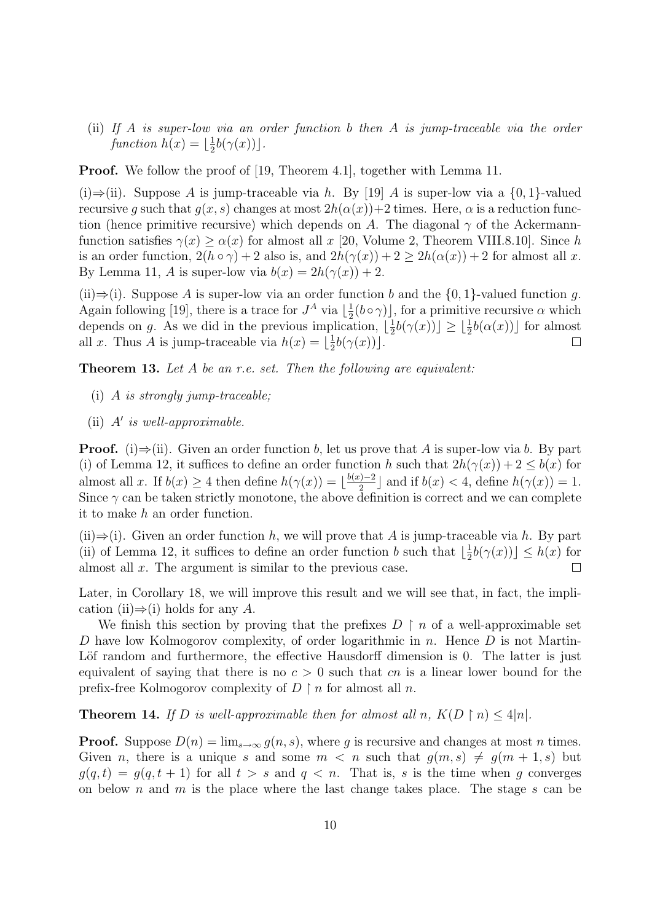(ii) If A is super-low via an order function b then A is jump-traceable via the order function  $h(x) = \lfloor \frac{1}{2} \rfloor$  $\frac{1}{2}b(\gamma(x))$ .

**Proof.** We follow the proof of [19, Theorem 4.1], together with Lemma 11.

(i)⇒(ii). Suppose A is jump-traceable via h. By [19] A is super-low via a  $\{0, 1\}$ -valued recursive g such that  $g(x, s)$  changes at most  $2h(\alpha(x))+2$  times. Here,  $\alpha$  is a reduction function (hence primitive recursive) which depends on A. The diagonal  $\gamma$  of the Ackermannfunction satisfies  $\gamma(x) > \alpha(x)$  for almost all x [20, Volume 2, Theorem VIII.8.10]. Since h is an order function,  $2(h \circ \gamma) + 2$  also is, and  $2h(\gamma(x)) + 2 \ge 2h(\alpha(x)) + 2$  for almost all x. By Lemma 11, A is super-low via  $b(x) = 2h(\gamma(x)) + 2$ .

(ii) $\Rightarrow$ (i). Suppose A is super-low via an order function b and the {0, 1}-valued function q. Again following [19], there is a trace for  $J^A$  via  $\lfloor \frac{1}{2} \rfloor$  $\frac{1}{2}(b \circ \gamma)$ , for a primitive recursive  $\alpha$  which depends on g. As we did in the previous implication,  $\frac{1}{2}$  $\frac{1}{2}b(\gamma(x)) \leq \lfloor \frac{1}{2}b(\alpha(x)) \rfloor$  for almost all x. Thus A is jump-traceable via  $h(x) = \lfloor \frac{1}{2} \rfloor$  $\frac{1}{2}b(\gamma(x))$ .  $\Box$ 

**Theorem 13.** Let A be an r.e. set. Then the following are equivalent:

- (i) A is strongly jump-traceable;
- (ii)  $A'$  is well-approximable.

**Proof.** (i) $\Rightarrow$ (ii). Given an order function b, let us prove that A is super-low via b. By part (i) of Lemma 12, it suffices to define an order function h such that  $2h(\gamma(x)) + 2 \leq b(x)$  for almost all x. If  $b(x) \geq 4$  then define  $h(\gamma(x)) = \lfloor \frac{b(x)-2}{2} \rfloor$  $\lfloor \frac{n}{2} \rfloor$  and if  $b(x) < 4$ , define  $h(\gamma(x)) = 1$ . Since  $\gamma$  can be taken strictly monotone, the above definition is correct and we can complete it to make h an order function.

(ii) $\Rightarrow$ (i). Given an order function h, we will prove that A is jump-traceable via h. By part (ii) of Lemma 12, it suffices to define an order function b such that  $\lfloor \frac{1}{2} \rfloor$  $\frac{1}{2}b(\gamma(x)) \leq h(x)$  for almost all x. The argument is similar to the previous case.  $\Box$ 

Later, in Corollary 18, we will improve this result and we will see that, in fact, the implication (ii) $\Rightarrow$ (i) holds for any A.

We finish this section by proving that the prefixes  $D \restriction n$  of a well-approximable set D have low Kolmogorov complexity, of order logarithmic in n. Hence  $D$  is not Martin-Löf random and furthermore, the effective Hausdorff dimension is 0. The latter is just equivalent of saying that there is no  $c > 0$  such that cn is a linear lower bound for the prefix-free Kolmogorov complexity of  $D \restriction n$  for almost all n.

**Theorem 14.** If D is well-approximable then for almost all n,  $K(D \restriction n) \leq 4|n|$ .

**Proof.** Suppose  $D(n) = \lim_{s \to \infty} g(n, s)$ , where g is recursive and changes at most n times. Given *n*, there is a unique *s* and some  $m < n$  such that  $g(m, s) \neq g(m + 1, s)$  but  $g(q, t) = g(q, t + 1)$  for all  $t > s$  and  $q < n$ . That is, s is the time when g converges on below n and m is the place where the last change takes place. The stage s can be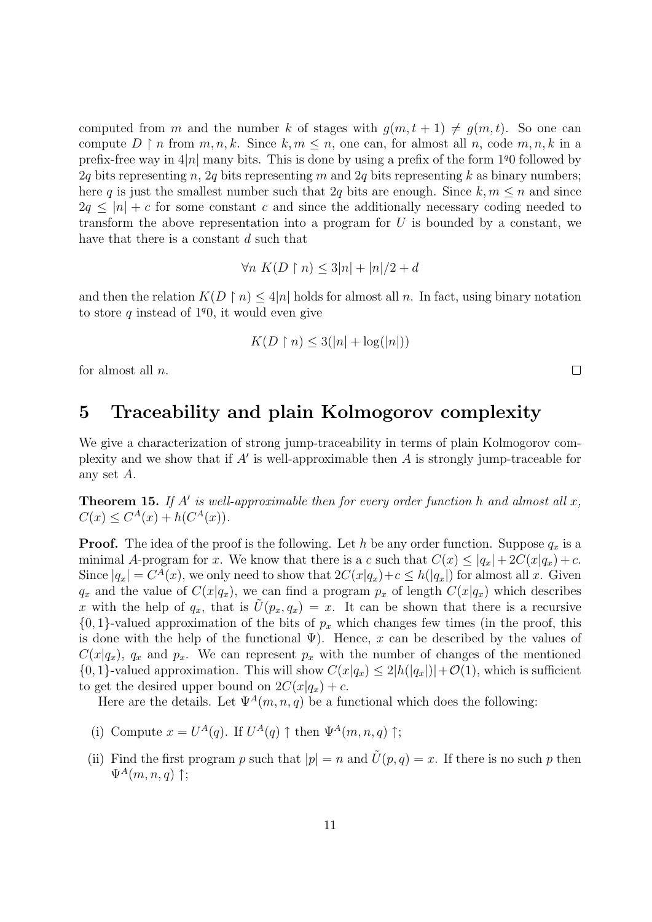computed from m and the number k of stages with  $q(m, t + 1) \neq q(m, t)$ . So one can compute  $D \restriction n$  from  $m, n, k$ . Since  $k, m \leq n$ , one can, for almost all n, code  $m, n, k$  in a prefix-free way in  $4|n|$  many bits. This is done by using a prefix of the form  $1<sup>q</sup>0$  followed by 2q bits representing n, 2q bits representing m and 2q bits representing k as binary numbers; here q is just the smallest number such that 2q bits are enough. Since  $k, m \leq n$  and since  $2q \leq |n| + c$  for some constant c and since the additionally necessary coding needed to transform the above representation into a program for  $U$  is bounded by a constant, we have that there is a constant d such that

$$
\forall n \ K(D \upharpoonright n) \le 3|n| + |n|/2 + d
$$

and then the relation  $K(D \restriction n) \leq 4|n|$  holds for almost all n. In fact, using binary notation to store q instead of  $1q0$ , it would even give

$$
K(D \restriction n) \le 3(|n| + \log(|n|))
$$

for almost all  $n$ .

### 5 Traceability and plain Kolmogorov complexity

We give a characterization of strong jump-traceability in terms of plain Kolmogorov complexity and we show that if  $A'$  is well-approximable then  $A$  is strongly jump-traceable for any set A.

**Theorem 15.** If A' is well-approximable then for every order function h and almost all  $x$ ,  $C(x) \leq C^{A}(x) + h(C^{A}(x)).$ 

**Proof.** The idea of the proof is the following. Let h be any order function. Suppose  $q_x$  is a minimal A-program for x. We know that there is a c such that  $C(x) \leq |q_x| + 2C(x|q_x) + c$ . Since  $|q_x| = C^A(x)$ , we only need to show that  $2C(x|q_x) + c \le h(|q_x|)$  for almost all x. Given  $q_x$  and the value of  $C(x|q_x)$ , we can find a program  $p_x$  of length  $C(x|q_x)$  which describes x with the help of  $q_x$ , that is  $U(p_x, q_x) = x$ . It can be shown that there is a recursive  $\{0, 1\}$ -valued approximation of the bits of  $p_x$  which changes few times (in the proof, this is done with the help of the functional  $\Psi$ ). Hence, x can be described by the values of  $C(x|q_x)$ ,  $q_x$  and  $p_x$ . We can represent  $p_x$  with the number of changes of the mentioned  $\{0, 1\}$ -valued approximation. This will show  $C(x|q_x) \leq 2|h(|q_x|)| + \mathcal{O}(1)$ , which is sufficient to get the desired upper bound on  $2C(x|q_x) + c$ .

Here are the details. Let  $\Psi^A(m, n, q)$  be a functional which does the following:

- (i) Compute  $x = U^A(q)$ . If  $U^A(q) \uparrow$  then  $\Psi^A(m, n, q) \uparrow$ ;
- (ii) Find the first program p such that  $|p| = n$  and  $\tilde{U}(p,q) = x$ . If there is no such p then  $\Psi^A(m,n,q)$   $\uparrow$ ;

 $\Box$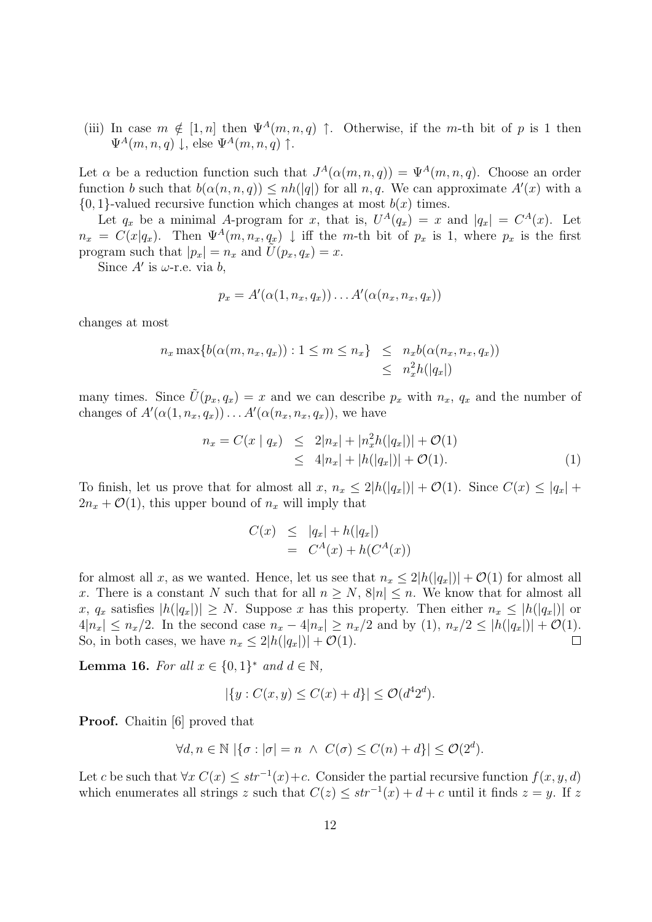(iii) In case  $m \notin [1, n]$  then  $\Psi^A(m, n, q)$   $\uparrow$ . Otherwise, if the m-th bit of p is 1 then  $\Psi^A(m,n,q) \downarrow$ , else  $\Psi^A(m,n,q) \uparrow$ .

Let  $\alpha$  be a reduction function such that  $J^A(\alpha(m,n,q)) = \Psi^A(m,n,q)$ . Choose an order function b such that  $b(\alpha(n, n, q)) \le nh(|q|)$  for all n, q. We can approximate  $A'(x)$  with a  $\{0, 1\}$ -valued recursive function which changes at most  $b(x)$  times.

Let  $q_x$  be a minimal A-program for x, that is,  $U^A(q_x) = x$  and  $|q_x| = C^A(x)$ . Let  $n_x = C(x|q_x)$ . Then  $\Psi^A(m, n_x, q_x)$  | iff the m-th bit of  $p_x$  is 1, where  $p_x$  is the first program such that  $|p_x| = n_x$  and  $U(p_x, q_x) = x$ .

Since  $A'$  is  $\omega$ -r.e. via  $b$ ,

$$
p_x = A'(\alpha(1, n_x, q_x)) \dots A'(\alpha(n_x, n_x, q_x))
$$

changes at most

$$
n_x \max\{b(\alpha(m, n_x, q_x)) : 1 \le m \le n_x\} \le n_x b(\alpha(n_x, n_x, q_x))
$$
  

$$
\le n_x^2 h(|q_x|)
$$

many times. Since  $U(p_x, q_x) = x$  and we can describe  $p_x$  with  $n_x, q_x$  and the number of changes of  $A'(\alpha(1, n_x, q_x)) \dots A'(\alpha(n_x, n_x, q_x))$ , we have

$$
n_x = C(x | q_x) \le 2|n_x| + |n_x^2 h(|q_x|)| + \mathcal{O}(1)
$$
  
\n
$$
\le 4|n_x| + |h(|q_x|)| + \mathcal{O}(1).
$$
 (1)

To finish, let us prove that for almost all x,  $n_x \leq 2|h(|q_x|)| + \mathcal{O}(1)$ . Since  $C(x) \leq |q_x| +$  $2n_x + \mathcal{O}(1)$ , this upper bound of  $n_x$  will imply that

$$
C(x) \le |q_x| + h(|q_x|)
$$
  
= 
$$
C^A(x) + h(C^A(x))
$$

for almost all x, as we wanted. Hence, let us see that  $n_x \leq 2|h(|q_x|)| + \mathcal{O}(1)$  for almost all x. There is a constant N such that for all  $n \geq N$ ,  $8|n| \leq n$ . We know that for almost all x,  $q_x$  satisfies  $|h(|q_x|)| \geq N$ . Suppose x has this property. Then either  $n_x \leq |h(|q_x|)|$  or  $4|n_x| \leq n_x/2$ . In the second case  $n_x - 4|n_x| \geq n_x/2$  and by (1),  $n_x/2 \leq |h(|q_x|)| + \mathcal{O}(1)$ . So, in both cases, we have  $n_x \leq 2|h(|q_x|)| + \mathcal{O}(1)$ .  $\Box$ 

**Lemma 16.** For all  $x \in \{0, 1\}^*$  and  $d \in \mathbb{N}$ ,

$$
|\{y : C(x, y) \le C(x) + d\}| \le \mathcal{O}(d^4 2^d).
$$

**Proof.** Chaitin [6] proved that

$$
\forall d, n \in \mathbb{N} \left| \{ \sigma : |\sigma| = n \ \land \ C(\sigma) \le C(n) + d \} \right| \le \mathcal{O}(2^d).
$$

Let c be such that  $\forall x \ C(x) \leq str^{-1}(x) + c$ . Consider the partial recursive function  $f(x, y, d)$ which enumerates all strings z such that  $C(z) \leq str^{-1}(x) + d + c$  until it finds  $z = y$ . If z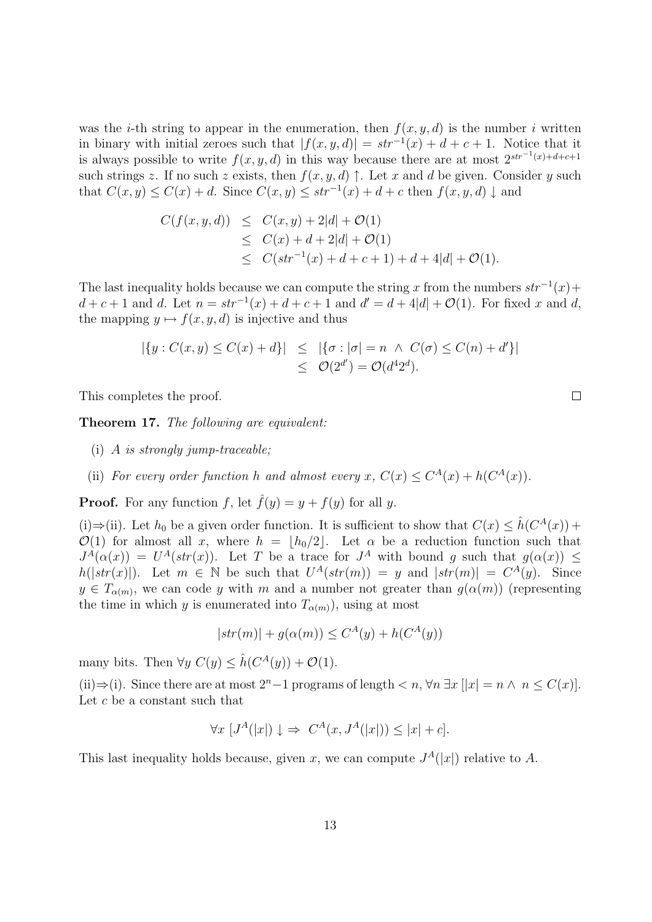was the *i*-th string to appear in the enumeration, then  $f(x, y, d)$  is the number *i* written in binary with initial zeroes such that  $|f(x, y, d)| = str^{-1}(x) + d + c + 1$ . Notice that it is always possible to write  $f(x, y, d)$  in this way because there are at most  $2^{str^{-1}(x)+d+c+1}$ such strings z. If no such z exists, then  $f(x, y, d)$   $\uparrow$ . Let x and d be given. Consider y such that  $C(x, y) \leq C(x) + d$ . Since  $C(x, y) \leq str^{-1}(x) + d + c$  then  $f(x, y, d) \downarrow$  and

$$
C(f(x, y, d)) \leq C(x, y) + 2|d| + \mathcal{O}(1)
$$
  
\n
$$
\leq C(x) + d + 2|d| + \mathcal{O}(1)
$$
  
\n
$$
\leq C(str^{-1}(x) + d + c + 1) + d + 4|d| + \mathcal{O}(1).
$$

The last inequality holds because we can compute the string x from the numbers  $str^{-1}(x)$  +  $d+c+1$  and d. Let  $n = str^{-1}(x) + d+c+1$  and  $d' = d+4|d| + \mathcal{O}(1)$ . For fixed x and d, the mapping  $y \mapsto f(x, y, d)$  is injective and thus

$$
|\{y : C(x, y) \le C(x) + d\}|
$$
  $\leq$   $|\{\sigma : |\sigma| = n \land C(\sigma) \le C(n) + d'\}|$   
 $\leq$   $\mathcal{O}(2^{d'}) = \mathcal{O}(d^4 2^d).$ 

This completes the proof.

Theorem 17. The following are equivalent:

- (i) A is strongly jump-traceable;
- (ii) For every order function h and almost every x,  $C(x) \leq C^{A}(x) + h(C^{A}(x))$ .

**Proof.** For any function f, let  $\hat{f}(y) = y + f(y)$  for all y.

(i)  $\Rightarrow$  (ii). Let  $h_0$  be a given order function. It is sufficient to show that  $C(x) \leq \hat{h}(C^A(x))$  +  $\mathcal{O}(1)$  for almost all x, where  $h = |h_0/2|$ . Let  $\alpha$  be a reduction function such that  $J^A(\alpha(x)) = U^A(str(x))$ . Let T be a trace for  $J^A$  with bound g such that  $g(\alpha(x)) \leq$  $h(|str(x)|)$ . Let  $m \in \mathbb{N}$  be such that  $U^A(str(m)) = y$  and  $|str(m)| = C^A(y)$ . Since  $y \in T_{\alpha(m)}$ , we can code y with m and a number not greater than  $g(\alpha(m))$  (representing the time in which y is enumerated into  $T_{\alpha(m)}$ , using at most

$$
|str(m)| + g(\alpha(m)) \le C^{A}(y) + h(C^{A}(y))
$$

many bits. Then  $\forall y \ C(y) \leq \hat{h}(C^A(y)) + \mathcal{O}(1)$ .

(ii)⇒(i). Since there are at most  $2^{n}-1$  programs of length  $\lt n$ ,  $\forall n \exists x$  [ $|x| = n \land n \leq C(x)$ ]. Let c be a constant such that

$$
\forall x \ [J^A(|x|) \downarrow \Rightarrow C^A(x, J^A(|x|)) \le |x| + c].
$$

This last inequality holds because, given x, we can compute  $J<sup>A</sup>(|x|)$  relative to A.

 $\Box$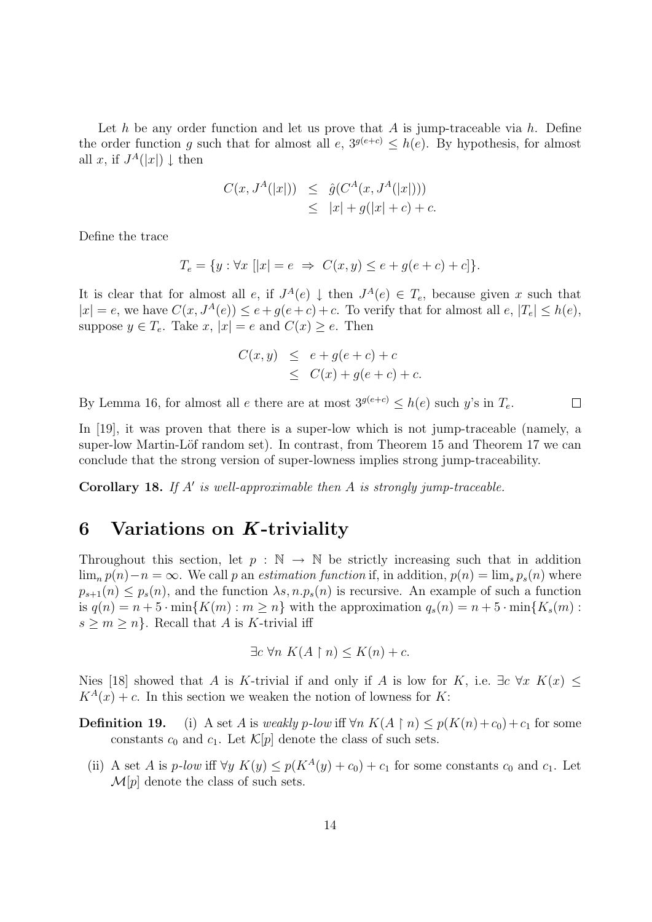Let h be any order function and let us prove that A is jump-traceable via h. Define the order function g such that for almost all e,  $3^{g(e+c)} \leq h(e)$ . By hypothesis, for almost all x, if  $J^A(|x|) \downarrow$  then

$$
C(x, JA(|x|)) \leq \hat{g}(CA(x, JA(|x|))) \leq |x| + g(|x| + c) + c.
$$

Define the trace

$$
T_e = \{ y : \forall x \ [|x| = e \ \Rightarrow \ C(x, y) \le e + g(e + c) + c \}.
$$

It is clear that for almost all e, if  $J^A(e) \downarrow$  then  $J^A(e) \in T_e$ , because given x such that  $|x| = e$ , we have  $C(x, J<sup>A</sup>(e)) \le e + g(e + c) + c$ . To verify that for almost all  $e, |T_e| \le h(e)$ , suppose  $y \in T_e$ . Take  $x, |x| = e$  and  $C(x) \geq e$ . Then

$$
C(x,y) \le e + g(e+c) + c
$$
  

$$
\le C(x) + g(e+c) + c.
$$

By Lemma 16, for almost all e there are at most  $3^{g(e+c)} < h(e)$  such y's in  $T_e$ .  $\Box$ 

In [19], it was proven that there is a super-low which is not jump-traceable (namely, a super-low Martin-Löf random set). In contrast, from Theorem 15 and Theorem 17 we can conclude that the strong version of super-lowness implies strong jump-traceability.

Corollary 18. If  $A'$  is well-approximable then  $A$  is strongly jump-traceable.

## 6 Variations on K-triviality

Throughout this section, let  $p : \mathbb{N} \to \mathbb{N}$  be strictly increasing such that in addition  $\lim_{n} p(n)-n = \infty$ . We call p an *estimation function* if, in addition,  $p(n) = \lim_{s} p_s(n)$  where  $p_{s+1}(n) \leq p_s(n)$ , and the function  $\lambda s, n.p_s(n)$  is recursive. An example of such a function is  $q(n) = n + 5 \cdot \min\{K(m) : m \ge n\}$  with the approximation  $q_s(n) = n + 5 \cdot \min\{K_s(m) : m \ge n\}$  $s \geq m \geq n$ . Recall that A is K-trivial iff

$$
\exists c \,\forall n \, K(A \upharpoonright n) \le K(n) + c.
$$

Nies [18] showed that A is K-trivial if and only if A is low for K, i.e.  $\exists c \forall x K(x)$  $K^{A}(x) + c$ . In this section we weaken the notion of lowness for K:

**Definition 19.** (i) A set A is weakly p-low iff  $\forall n K(A \upharpoonright n) \leq p(K(n)+c_0)+c_1$  for some constants  $c_0$  and  $c_1$ . Let  $\mathcal{K}[p]$  denote the class of such sets.

(ii) A set A is p-low iff  $\forall y K(y) \leq p(K^A(y) + c_0) + c_1$  for some constants  $c_0$  and  $c_1$ . Let  $\mathcal{M}[p]$  denote the class of such sets.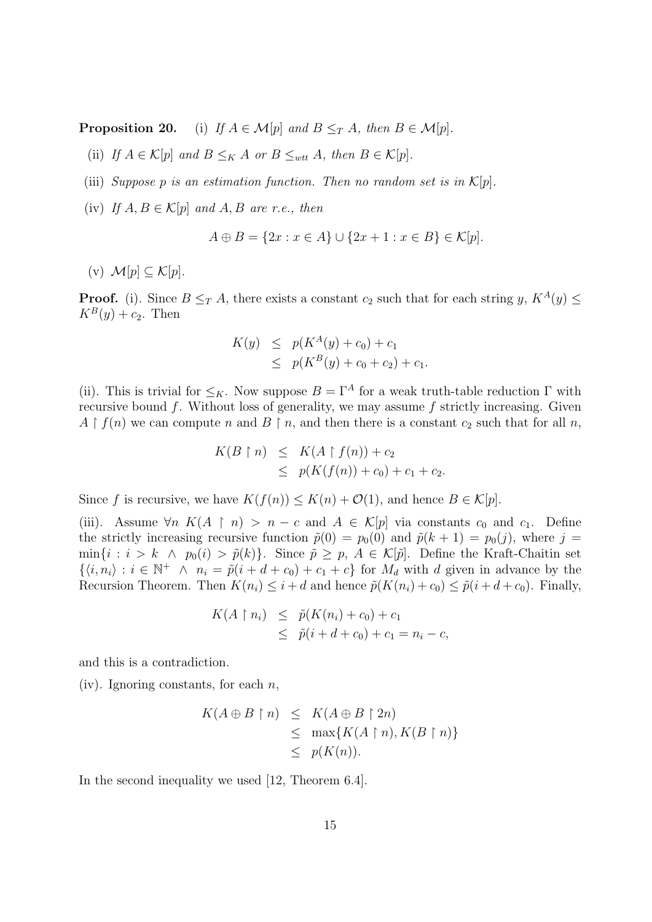**Proposition 20.** (i) If  $A \in \mathcal{M}[p]$  and  $B \leq_T A$ , then  $B \in \mathcal{M}[p]$ .

- (ii) If  $A \in \mathcal{K}[p]$  and  $B \leq_K A$  or  $B \leq_{wtt} A$ , then  $B \in \mathcal{K}[p]$ .
- (iii) Suppose p is an estimation function. Then no random set is in  $\mathcal{K}[p]$ .
- (iv) If  $A, B \in \mathcal{K}[p]$  and  $A, B$  are r.e., then

$$
A \oplus B = \{2x : x \in A\} \cup \{2x + 1 : x \in B\} \in \mathcal{K}[p].
$$

(v)  $\mathcal{M}[p] \subset \mathcal{K}[p]$ .

**Proof.** (i). Since  $B \leq_T A$ , there exists a constant  $c_2$  such that for each string  $y$ ,  $K^A(y) \leq$  $K^B(y) + c_2$ . Then

$$
K(y) \leq p(K^A(y) + c_0) + c_1
$$
  
 
$$
\leq p(K^B(y) + c_0 + c_2) + c_1.
$$

(ii). This is trivial for  $\leq_K$ . Now suppose  $B = \Gamma^A$  for a weak truth-table reduction  $\Gamma$  with recursive bound  $f$ . Without loss of generality, we may assume  $f$  strictly increasing. Given  $A \restriction f(n)$  we can compute n and  $B \restriction n$ , and then there is a constant  $c_2$  such that for all n,

$$
K(B \upharpoonright n) \leq K(A \upharpoonright f(n)) + c_2
$$
  
 
$$
\leq p(K(f(n)) + c_0) + c_1 + c_2.
$$

Since f is recursive, we have  $K(f(n)) \leq K(n) + \mathcal{O}(1)$ , and hence  $B \in \mathcal{K}[p]$ .

(iii). Assume  $\forall n \ K(A \mid n) > n - c$  and  $A \in \mathcal{K}[p]$  via constants  $c_0$  and  $c_1$ . Define the strictly increasing recursive function  $\tilde{p}(0) = p_0(0)$  and  $\tilde{p}(k+1) = p_0(j)$ , where  $j =$  $\min\{i : i > k \land p_0(i) > \tilde{p}(k)\}\$ . Since  $\tilde{p} \geq p, A \in \mathcal{K}[\tilde{p}]\$ . Define the Kraft-Chaitin set  $\{\langle i, n_i \rangle : i \in \mathbb{N}^+ \land n_i = \tilde{p}(i + d + c_0) + c_1 + c\}$  for  $M_d$  with d given in advance by the Recursion Theorem. Then  $K(n_i) \leq i + d$  and hence  $\tilde{p}(K(n_i) + c_0) \leq \tilde{p}(i + d + c_0)$ . Finally,

$$
K(A \upharpoonright n_i) \leq \tilde{p}(K(n_i) + c_0) + c_1
$$
  
 
$$
\leq \tilde{p}(i + d + c_0) + c_1 = n_i - c,
$$

and this is a contradiction.

(iv). Ignoring constants, for each  $n$ ,

$$
K(A \oplus B \upharpoonright n) \leq K(A \oplus B \upharpoonright 2n)
$$
  
\$\leq\$ 
$$
\max\{K(A \upharpoonright n), K(B \upharpoonright n)\}
$$
  
\$\leq\$ 
$$
p(K(n)).
$$

In the second inequality we used [12, Theorem 6.4].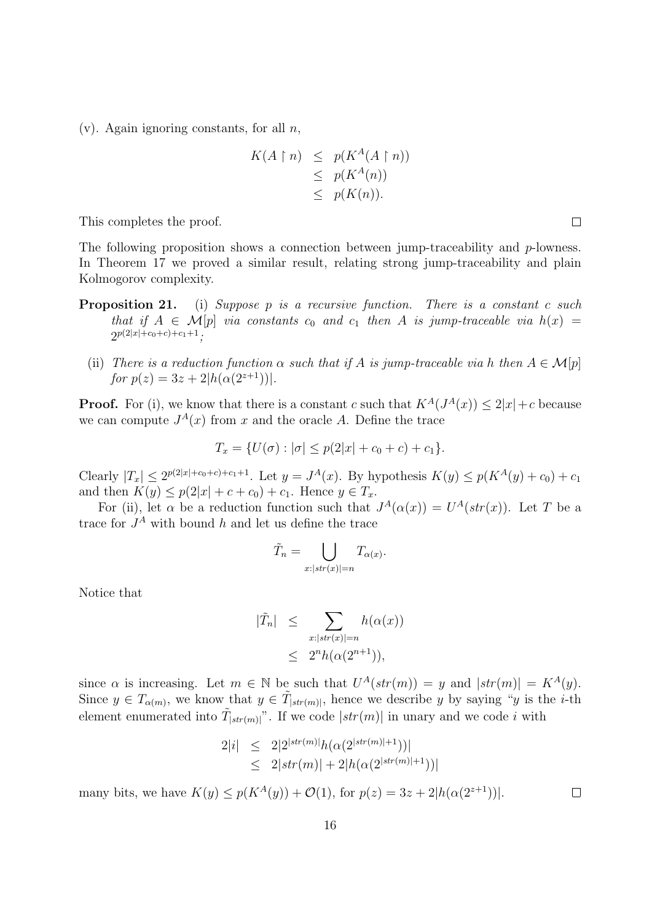(v). Again ignoring constants, for all  $n$ ,

$$
K(A \upharpoonright n) \leq p(K^A(A \upharpoonright n))
$$
  
\n
$$
\leq p(K^A(n))
$$
  
\n
$$
\leq p(K(n)).
$$

This completes the proof.

The following proposition shows a connection between jump-traceability and  $p$ -lowness. In Theorem 17 we proved a similar result, relating strong jump-traceability and plain Kolmogorov complexity.

- **Proposition 21.** (i) Suppose p is a recursive function. There is a constant c such that if  $A \in \mathcal{M}[p]$  via constants  $c_0$  and  $c_1$  then A is jump-traceable via  $h(x) =$  $2^{p(2|x|+c_0+c)+c_1+1};$ 
	- (ii) There is a reduction function  $\alpha$  such that if A is jump-traceable via h then  $A \in \mathcal{M}[p]$ for  $p(z) = 3z + 2|h(\alpha(2^{z+1}))|$ .

**Proof.** For (i), we know that there is a constant c such that  $K^A(J^A(x)) \leq 2|x| + c$  because we can compute  $J^A(x)$  from x and the oracle A. Define the trace

$$
T_x = \{ U(\sigma) : |\sigma| \le p(2|x| + c_0 + c) + c_1 \}.
$$

Clearly  $|T_x| \le 2^{p(2|x|+c_0+c)+c_1+1}$ . Let  $y = J^A(x)$ . By hypothesis  $K(y) \le p(K^A(y)+c_0)+c_1$ and then  $K(y) \leq p(2|x| + c + c_0) + c_1$ . Hence  $y \in T_x$ .

For (ii), let  $\alpha$  be a reduction function such that  $J^A(\alpha(x)) = U^A(str(x))$ . Let T be a trace for  $J^A$  with bound h and let us define the trace

$$
\tilde{T}_n = \bigcup_{x: |str(x)| = n} T_{\alpha(x)}.
$$

Notice that

$$
|\tilde{T}_n| \leq \sum_{x: |str(x)|=n} h(\alpha(x))
$$
  

$$
\leq 2^n h(\alpha(2^{n+1})),
$$

since  $\alpha$  is increasing. Let  $m \in \mathbb{N}$  be such that  $U^A(str(m)) = y$  and  $|str(m)| = K^A(y)$ . Since  $y \in T_{\alpha(m)}$ , we know that  $y \in \tilde{T}_{|str(m)|}$ , hence we describe y by saying "y is the *i*-th element enumerated into  $\tilde{T}_{[str(m)]}$ ". If we code  $|str(m)|$  in unary and we code i with

$$
2|i| \leq 2|2^{|str(m)|}h(\alpha(2^{|str(m)|+1}))|
$$
  

$$
\leq 2|str(m)| + 2|h(\alpha(2^{|str(m)|+1}))|
$$

many bits, we have  $K(y) \leq p(K^A(y)) + \mathcal{O}(1)$ , for  $p(z) = 3z + 2|h(\alpha(2^{z+1}))|$ .

 $\Box$ 

 $\Box$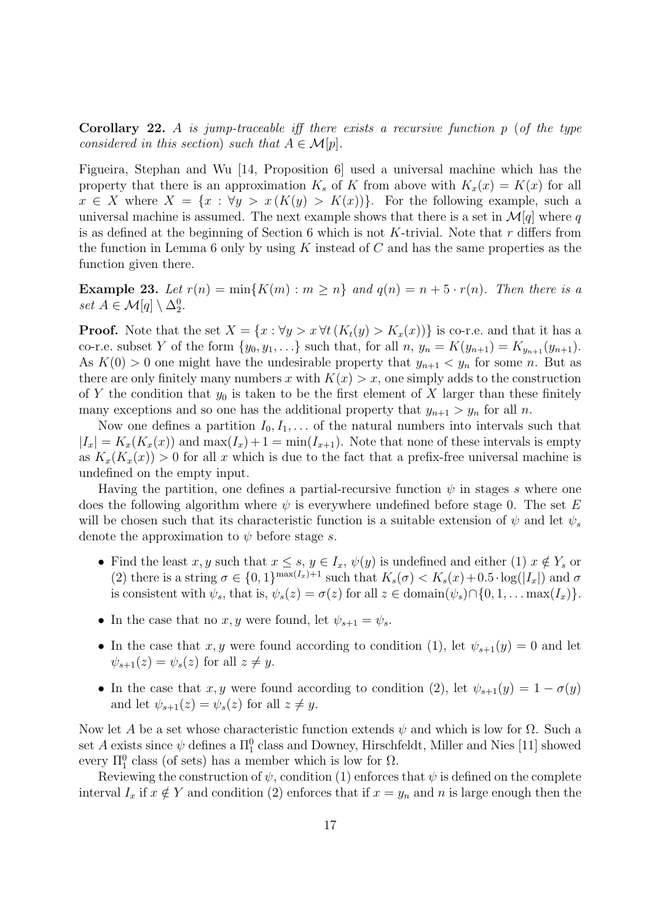**Corollary 22.** A is jump-traceable iff there exists a recursive function p (of the type considered in this section) such that  $A \in \mathcal{M}[p]$ .

Figueira, Stephan and Wu [14, Proposition 6] used a universal machine which has the property that there is an approximation  $K_s$  of K from above with  $K_x(x) = K(x)$  for all  $x \in X$  where  $X = \{x : \forall y > x (K(y) > K(x))\}.$  For the following example, such a universal machine is assumed. The next example shows that there is a set in  $\mathcal{M}[q]$  where q is as defined at the beginning of Section 6 which is not  $K$ -trivial. Note that  $r$  differs from the function in Lemma 6 only by using K instead of C and has the same properties as the function given there.

**Example 23.** Let  $r(n) = \min\{K(m) : m \geq n\}$  and  $q(n) = n + 5 \cdot r(n)$ . Then there is a set  $A \in \mathcal{M}[q] \setminus \Delta_2^0$ .

**Proof.** Note that the set  $X = \{x : \forall y > x \forall t (K_t(y) > K_x(x))\}$  is co-r.e. and that it has a co-r.e. subset Y of the form  $\{y_0, y_1, ...\}$  such that, for all  $n, y_n = K(y_{n+1}) = K_{y_{n+1}}(y_{n+1})$ . As  $K(0) > 0$  one might have the undesirable property that  $y_{n+1} < y_n$  for some n. But as there are only finitely many numbers x with  $K(x) > x$ , one simply adds to the construction of Y the condition that  $y_0$  is taken to be the first element of X larger than these finitely many exceptions and so one has the additional property that  $y_{n+1} > y_n$  for all n.

Now one defines a partition  $I_0, I_1, \ldots$  of the natural numbers into intervals such that  $|I_x| = K_x(K_x(x))$  and  $\max(I_x) + 1 = \min(I_{x+1})$ . Note that none of these intervals is empty as  $K_x(K_x(x)) > 0$  for all x which is due to the fact that a prefix-free universal machine is undefined on the empty input.

Having the partition, one defines a partial-recursive function  $\psi$  in stages s where one does the following algorithm where  $\psi$  is everywhere undefined before stage 0. The set E will be chosen such that its characteristic function is a suitable extension of  $\psi$  and let  $\psi_s$ denote the approximation to  $\psi$  before stage s.

- Find the least x, y such that  $x \leq s$ ,  $y \in I_x$ ,  $\psi(y)$  is undefined and either (1)  $x \notin Y_s$  or (2) there is a string  $\sigma \in \{0,1\}^{\max(I_x)+1}$  such that  $K_s(\sigma) < K_s(x)+0.5 \cdot \log(|I_x|)$  and  $\sigma$ is consistent with  $\psi_s$ , that is,  $\psi_s(z) = \sigma(z)$  for all  $z \in \text{domain}(\psi_s) \cap \{0, 1, \dots \max(I_x)\}.$
- In the case that no x, y were found, let  $\psi_{s+1} = \psi_s$ .
- In the case that x, y were found according to condition (1), let  $\psi_{s+1}(y) = 0$  and let  $\psi_{s+1}(z) = \psi_s(z)$  for all  $z \neq y$ .
- In the case that x, y were found according to condition (2), let  $\psi_{s+1}(y) = 1 \sigma(y)$ and let  $\psi_{s+1}(z) = \psi_s(z)$  for all  $z \neq y$ .

Now let A be a set whose characteristic function extends  $\psi$  and which is low for  $\Omega$ . Such a set A exists since  $\psi$  defines a  $\Pi_1^0$  class and Downey, Hirschfeldt, Miller and Nies [11] showed every  $\Pi_1^0$  class (of sets) has a member which is low for  $\Omega$ .

Reviewing the construction of  $\psi$ , condition (1) enforces that  $\psi$  is defined on the complete interval  $I_x$  if  $x \notin Y$  and condition (2) enforces that if  $x = y_n$  and n is large enough then the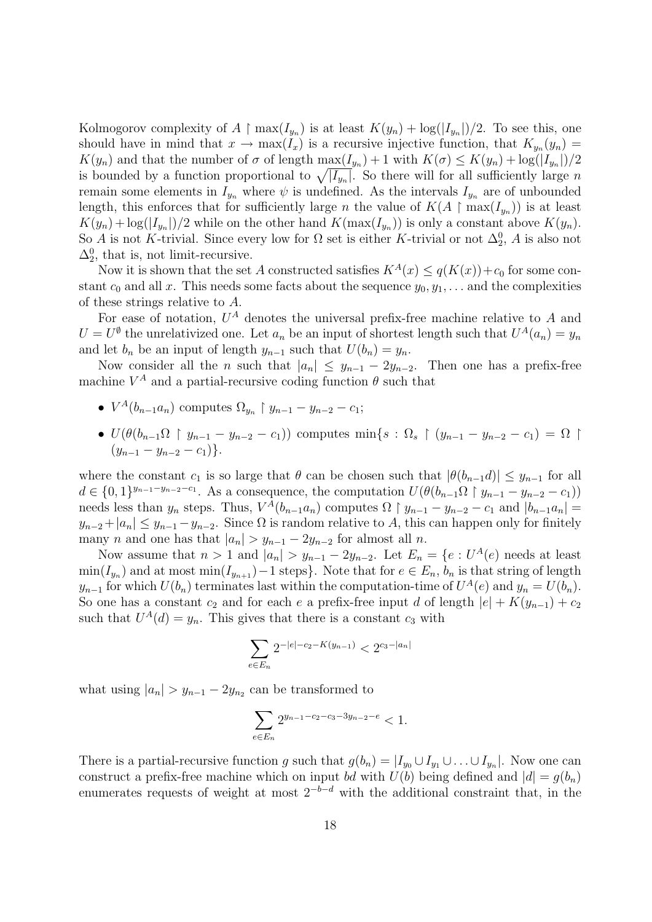Kolmogorov complexity of  $A \restriction max(I_{y_n})$  is at least  $K(y_n) + \log(|I_{y_n}|)/2$ . To see this, one should have in mind that  $x \to \max(I_x)$  is a recursive injective function, that  $K_{y_n}(y_n) =$  $K(y_n)$  and that the number of  $\sigma$  of length  $\max(I_{y_n}) + 1$  with  $K(\sigma) \leq K(y_n) + \log(|I_{y_n}|)/2$ is bounded by a function proportional to  $\sqrt{|I_{y_n}|}$ . So there will for all sufficiently large n remain some elements in  $I_{y_n}$  where  $\psi$  is undefined. As the intervals  $I_{y_n}$  are of unbounded length, this enforces that for sufficiently large n the value of  $K(A \restriction max(I_{y_n}))$  is at least  $K(y_n) + \log(|I_{y_n}|)/2$  while on the other hand  $K(\max(I_{y_n}))$  is only a constant above  $K(y_n)$ . So A is not K-trivial. Since every low for  $\Omega$  set is either K-trivial or not  $\Delta_2^0$ , A is also not  $\Delta_2^0$ , that is, not limit-recursive.

Now it is shown that the set A constructed satisfies  $K^A(x) \leq q(K(x)) + c_0$  for some constant  $c_0$  and all x. This needs some facts about the sequence  $y_0, y_1, \ldots$  and the complexities of these strings relative to A.

For ease of notation,  $U^A$  denotes the universal prefix-free machine relative to A and  $U = U^{\emptyset}$  the unrelativized one. Let  $a_n$  be an input of shortest length such that  $U^A(a_n) = y_n$ and let  $b_n$  be an input of length  $y_{n-1}$  such that  $U(b_n) = y_n$ .

Now consider all the *n* such that  $|a_n| \leq y_{n-1} - 2y_{n-2}$ . Then one has a prefix-free machine  $V^A$  and a partial-recursive coding function  $\theta$  such that

- $V^A(b_{n-1}a_n)$  computes  $\Omega_{y_n} \restriction y_{n-1} y_{n-2} c_1;$
- $U(\theta(b_{n-1}\Omega \restriction y_{n-1} y_{n-2} c_1))$  computes  $\min\{s : \Omega_s \restriction (y_{n-1} y_{n-2} c_1) = \Omega \restriction$  $(y_{n-1} - y_{n-2} - c_1)$ .

where the constant  $c_1$  is so large that  $\theta$  can be chosen such that  $|\theta(b_{n-1}d)| \leq y_{n-1}$  for all  $d \in \{0,1\}^{y_{n-1}-y_{n-2}-c_1}$ . As a consequence, the computation  $U(\theta(b_{n-1}\Omega \mid y_{n-1}-y_{n-2}-c_1))$ needs less than  $y_n$  steps. Thus,  $V^{\tilde{A}}(b_{n-1}a_n)$  computes  $\Omega \restriction y_{n-1} - y_{n-2} - c_1$  and  $|b_{n-1}a_n| =$  $y_{n-2}+|a_n| \leq y_{n-1}-y_{n-2}$ . Since  $\Omega$  is random relative to A, this can happen only for finitely many *n* and one has that  $|a_n| > y_{n-1} - 2y_{n-2}$  for almost all *n*.

Now assume that  $n > 1$  and  $|a_n| > y_{n-1} - 2y_{n-2}$ . Let  $E_n = \{e : U^A(e) \text{ needs at least } \}$  $\min(I_{y_n})$  and at most  $\min(I_{y_{n+1}}) - 1$  steps}. Note that for  $e \in E_n$ ,  $b_n$  is that string of length  $y_{n-1}$  for which  $U(b_n)$  terminates last within the computation-time of  $U^A(e)$  and  $y_n = U(b_n)$ . So one has a constant  $c_2$  and for each e a prefix-free input d of length  $|e| + K(y_{n-1}) + c_2$ such that  $U^A(d) = y_n$ . This gives that there is a constant  $c_3$  with

$$
\sum_{e \in E_n} 2^{-|e|-c_2 - K(y_{n-1})} < 2^{c_3 - |a_n|}
$$

what using  $|a_n| > y_{n-1} - 2y_{n_2}$  can be transformed to

$$
\sum_{e \in E_n} 2^{y_{n-1} - c_2 - c_3 - 3y_{n-2} - e} < 1.
$$

There is a partial-recursive function g such that  $g(b_n) = |I_{y_0} \cup I_{y_1} \cup ... \cup I_{y_n}|$ . Now one can construct a prefix-free machine which on input bd with  $U(b)$  being defined and  $|d| = g(b_n)$ enumerates requests of weight at most  $2^{-b-d}$  with the additional constraint that, in the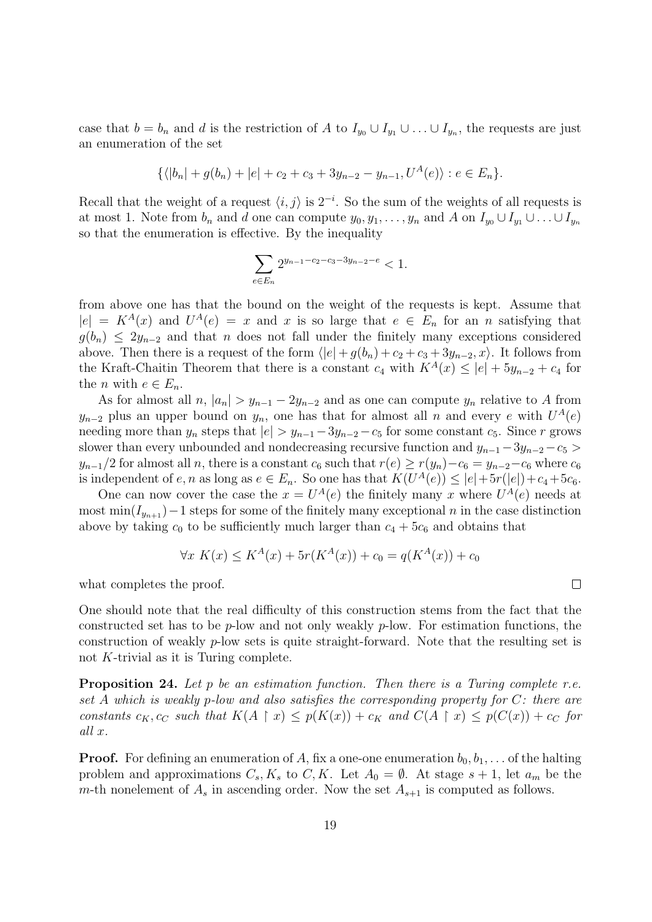case that  $b = b_n$  and d is the restriction of A to  $I_{y_0} \cup I_{y_1} \cup \ldots \cup I_{y_n}$ , the requests are just an enumeration of the set

$$
\{\langle |b_n|+g(b_n)+|e|+c_2+c_3+3y_{n-2}-y_{n-1},U^A(e)\rangle : e\in E_n\}.
$$

Recall that the weight of a request  $\langle i, j \rangle$  is  $2^{-i}$ . So the sum of the weights of all requests is at most 1. Note from  $b_n$  and d one can compute  $y_0, y_1, \ldots, y_n$  and A on  $I_{y_0} \cup I_{y_1} \cup \ldots \cup I_{y_n}$ so that the enumeration is effective. By the inequality

$$
\sum_{e \in E_n} 2^{y_{n-1} - c_2 - c_3 - 3y_{n-2} - e} < 1.
$$

from above one has that the bound on the weight of the requests is kept. Assume that  $|e| = K^{A}(x)$  and  $U^{A}(e) = x$  and x is so large that  $e \in E_n$  for an n satisfying that  $g(b_n) \leq 2y_{n-2}$  and that n does not fall under the finitely many exceptions considered above. Then there is a request of the form  $\langle |e| + g(b_n) + c_2 + c_3 + 3y_{n-2}, x \rangle$ . It follows from the Kraft-Chaitin Theorem that there is a constant  $c_4$  with  $K^A(x) \leq |e| + 5y_{n-2} + c_4$  for the *n* with  $e \in E_n$ .

As for almost all  $n, |a_n| > y_{n-1} - 2y_{n-2}$  and as one can compute  $y_n$  relative to A from  $y_{n-2}$  plus an upper bound on  $y_n$ , one has that for almost all n and every e with  $U^A(e)$ needing more than  $y_n$  steps that  $|e| > y_{n-1}-3y_{n-2}-c_5$  for some constant  $c_5$ . Since r grows slower than every unbounded and nondecreasing recursive function and  $y_{n-1}-3y_{n-2}-c_5 >$  $y_{n-1}/2$  for almost all n, there is a constant  $c_6$  such that  $r(e) \ge r(y_n)-c_6 = y_{n-2}-c_6$  where  $c_6$ is independent of  $e, n$  as long as  $e \in E_n$ . So one has that  $K(U^A(e)) \leq |e| + 5r(|e|) + c_4 + 5c_6$ .

One can now cover the case the  $x = U^A(e)$  the finitely many x where  $U^A(e)$  needs at most min $(I_{y_{n+1}})$  – 1 steps for some of the finitely many exceptional n in the case distinction above by taking  $c_0$  to be sufficiently much larger than  $c_4 + 5c_6$  and obtains that

$$
\forall x \ K(x) \le K^A(x) + 5r(K^A(x)) + c_0 = q(K^A(x)) + c_0
$$

what completes the proof.

One should note that the real difficulty of this construction stems from the fact that the constructed set has to be  $p$ -low and not only weakly  $p$ -low. For estimation functions, the construction of weakly p-low sets is quite straight-forward. Note that the resulting set is not K-trivial as it is Turing complete.

**Proposition 24.** Let p be an estimation function. Then there is a Turing complete r.e. set A which is weakly p-low and also satisfies the corresponding property for  $C$ : there are constants  $c_K$ ,  $c_C$  such that  $K(A \mid x) \leq p(K(x)) + c_K$  and  $C(A \mid x) \leq p(C(x)) + c_C$  for all x.

**Proof.** For defining an enumeration of A, fix a one-one enumeration  $b_0, b_1, \ldots$  of the halting problem and approximations  $C_s, K_s$  to  $C, K$ . Let  $A_0 = \emptyset$ . At stage  $s + 1$ , let  $a_m$  be the m-th nonelement of  $A_s$  in ascending order. Now the set  $A_{s+1}$  is computed as follows.

 $\Box$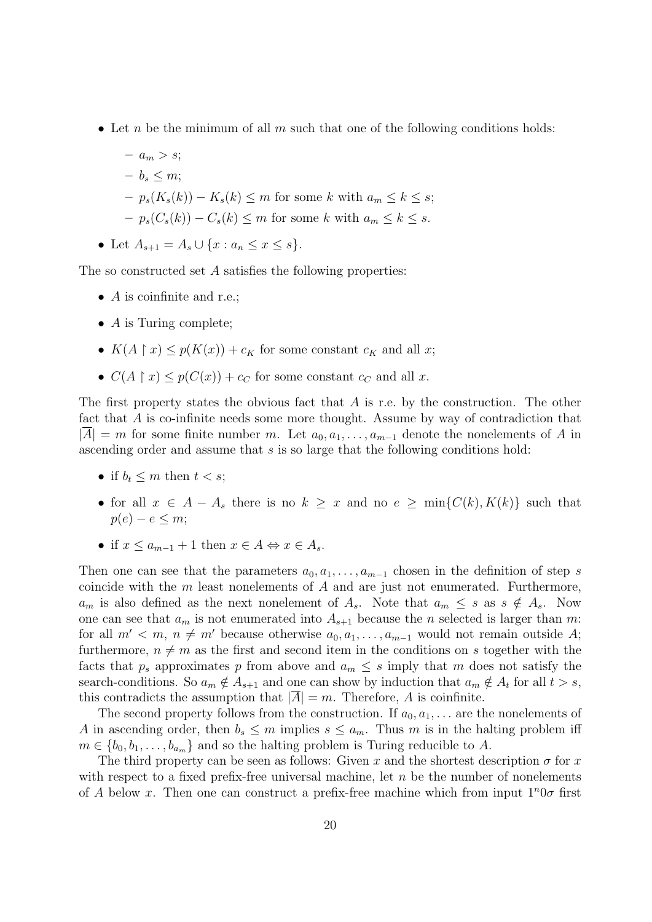• Let n be the minimum of all m such that one of the following conditions holds:

$$
- a_m > s;
$$
  
\n
$$
- b_s \le m;
$$
  
\n
$$
- p_s(K_s(k)) - K_s(k) \le m \text{ for some } k \text{ with } a_m \le k \le s;
$$
  
\n
$$
- p_s(C_s(k)) - C_s(k) \le m \text{ for some } k \text{ with } a_m \le k \le s.
$$

• Let  $A_{s+1} = A_s \cup \{x : a_n \leq x \leq s\}.$ 

The so constructed set A satisfies the following properties:

- $\vec{A}$  is coinfinite and r.e.;
- $\overline{A}$  is Turing complete;
- $K(A \upharpoonright x) \leq p(K(x)) + c_K$  for some constant  $c_K$  and all x;
- $C(A \upharpoonright x) \leq p(C(x)) + c_C$  for some constant  $c_C$  and all x.

The first property states the obvious fact that  $A$  is r.e. by the construction. The other fact that A is co-infinite needs some more thought. Assume by way of contradiction that  $|A| = m$  for some finite number m. Let  $a_0, a_1, \ldots, a_{m-1}$  denote the nonelements of A in ascending order and assume that s is so large that the following conditions hold:

- if  $b_t \leq m$  then  $t < s$ ;
- for all  $x \in A A_s$  there is no  $k \geq x$  and no  $e \geq \min\{C(k), K(k)\}\$  such that  $p(e) - e \leq m$ ;
- if  $x \le a_{m-1} + 1$  then  $x \in A \Leftrightarrow x \in A_s$ .

Then one can see that the parameters  $a_0, a_1, \ldots, a_{m-1}$  chosen in the definition of step s coincide with the  $m$  least nonelements of  $A$  and are just not enumerated. Furthermore,  $a_m$  is also defined as the next nonelement of  $A_s$ . Note that  $a_m \leq s$  as  $s \notin A_s$ . Now one can see that  $a_m$  is not enumerated into  $A_{s+1}$  because the n selected is larger than m: for all  $m' < m$ ,  $n \neq m'$  because otherwise  $a_0, a_1, \ldots, a_{m-1}$  would not remain outside A; furthermore,  $n \neq m$  as the first and second item in the conditions on s together with the facts that  $p_s$  approximates p from above and  $a_m \leq s$  imply that m does not satisfy the search-conditions. So  $a_m \notin A_{s+1}$  and one can show by induction that  $a_m \notin A_t$  for all  $t > s$ , this contradicts the assumption that  $|\overline{A}| = m$ . Therefore, A is coinfinite.

The second property follows from the construction. If  $a_0, a_1, \ldots$  are the nonelements of A in ascending order, then  $b_s \leq m$  implies  $s \leq a_m$ . Thus m is in the halting problem iff  $m \in \{b_0, b_1, \ldots, b_{a_m}\}\$ and so the halting problem is Turing reducible to A.

The third property can be seen as follows: Given x and the shortest description  $\sigma$  for x with respect to a fixed prefix-free universal machine, let  $n$  be the number of nonelements of A below x. Then one can construct a prefix-free machine which from input  $1^n0\sigma$  first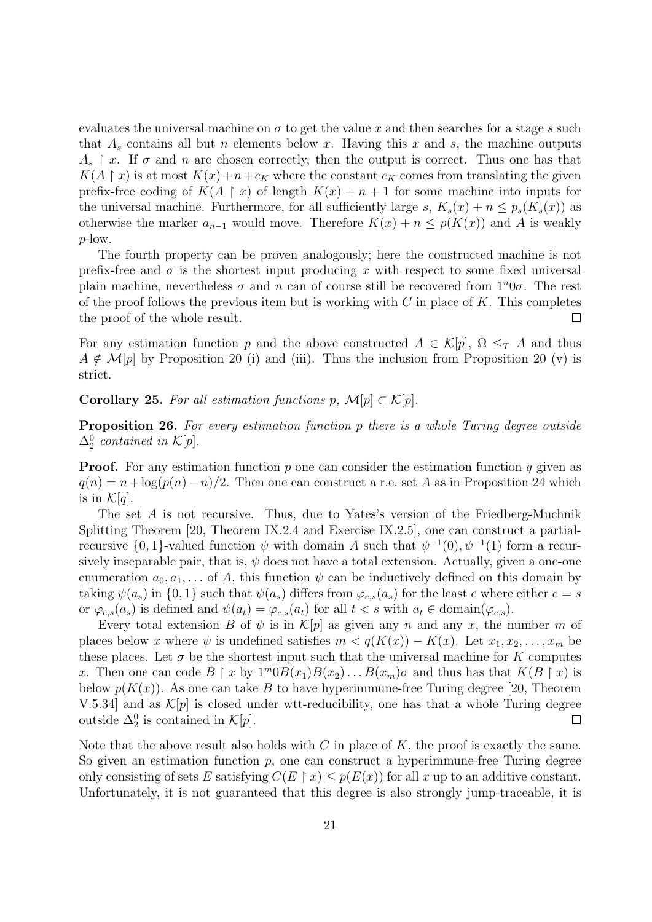evaluates the universal machine on  $\sigma$  to get the value x and then searches for a stage s such that  $A_s$  contains all but n elements below x. Having this x and s, the machine outputs  $A_s \restriction x$ . If  $\sigma$  and  $n$  are chosen correctly, then the output is correct. Thus one has that  $K(A \restriction x)$  is at most  $K(x)+n+c_K$  where the constant  $c_K$  comes from translating the given prefix-free coding of  $K(A \restriction x)$  of length  $K(x) + n + 1$  for some machine into inputs for the universal machine. Furthermore, for all sufficiently large s,  $K_s(x) + n \leq p_s(K_s(x))$  as otherwise the marker  $a_{n-1}$  would move. Therefore  $K(x) + n \leq p(K(x))$  and A is weakly p-low.

The fourth property can be proven analogously; here the constructed machine is not prefix-free and  $\sigma$  is the shortest input producing x with respect to some fixed universal plain machine, nevertheless  $\sigma$  and n can of course still be recovered from  $1^n0\sigma$ . The rest of the proof follows the previous item but is working with  $C$  in place of  $K$ . This completes the proof of the whole result.  $\Box$ 

For any estimation function p and the above constructed  $A \in \mathcal{K}[p], \Omega \leq_T A$  and thus  $A \notin \mathcal{M}[p]$  by Proposition 20 (i) and (iii). Thus the inclusion from Proposition 20 (v) is strict.

Corollary 25. For all estimation functions p,  $\mathcal{M}[p] \subset \mathcal{K}[p]$ .

Proposition 26. For every estimation function p there is a whole Turing degree outside  $\Delta_2^0$  contained in  $\mathcal{K}[p]$ .

**Proof.** For any estimation function  $p$  one can consider the estimation function  $q$  given as  $q(n) = n + \log(p(n) - n)/2$ . Then one can construct a r.e. set A as in Proposition 24 which is in  $\mathcal{K}[q]$ .

The set A is not recursive. Thus, due to Yates's version of the Friedberg-Muchnik Splitting Theorem [20, Theorem IX.2.4 and Exercise IX.2.5], one can construct a partialrecursive  $\{0,1\}$ -valued function  $\psi$  with domain A such that  $\psi^{-1}(0), \psi^{-1}(1)$  form a recursively inseparable pair, that is,  $\psi$  does not have a total extension. Actually, given a one-one enumeration  $a_0, a_1, \ldots$  of A, this function  $\psi$  can be inductively defined on this domain by taking  $\psi(a_s)$  in  $\{0,1\}$  such that  $\psi(a_s)$  differs from  $\varphi_{e,s}(a_s)$  for the least e where either  $e = s$ or  $\varphi_{e,s}(a_s)$  is defined and  $\psi(a_t) = \varphi_{e,s}(a_t)$  for all  $t < s$  with  $a_t \in \text{domain}(\varphi_{e,s})$ .

Every total extension B of  $\psi$  is in  $\mathcal{K}[p]$  as given any n and any x, the number m of places below x where  $\psi$  is undefined satisfies  $m < q(K(x)) - K(x)$ . Let  $x_1, x_2, \ldots, x_m$  be these places. Let  $\sigma$  be the shortest input such that the universal machine for K computes x. Then one can code  $B \restriction x$  by  $1^m 0B(x_1)B(x_2) \dots B(x_m)\sigma$  and thus has that  $K(B \restriction x)$  is below  $p(K(x))$ . As one can take B to have hyperimmune-free Turing degree [20, Theorem V.5.34] and as  $\mathcal{K}[p]$  is closed under wtt-reducibility, one has that a whole Turing degree outside  $\Delta_2^0$  is contained in  $\mathcal{K}[p]$ .  $\Box$ 

Note that the above result also holds with  $C$  in place of  $K$ , the proof is exactly the same. So given an estimation function  $p$ , one can construct a hyperimmune-free Turing degree only consisting of sets E satisfying  $C(E \restriction x) \leq p(E(x))$  for all x up to an additive constant. Unfortunately, it is not guaranteed that this degree is also strongly jump-traceable, it is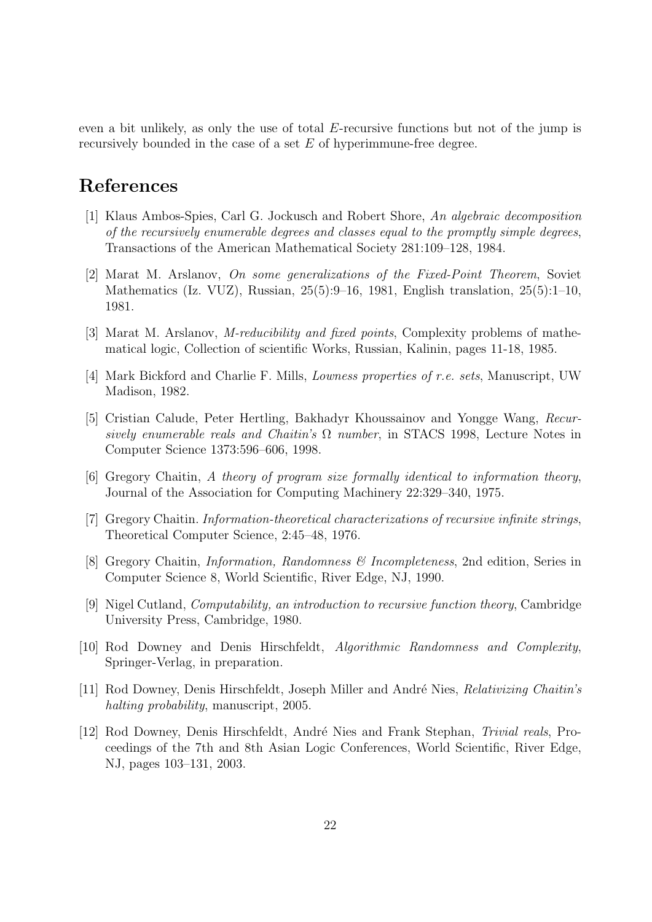even a bit unlikely, as only the use of total  $E$ -recursive functions but not of the jump is recursively bounded in the case of a set  $E$  of hyperimmune-free degree.

# References

- [1] Klaus Ambos-Spies, Carl G. Jockusch and Robert Shore, An algebraic decomposition of the recursively enumerable degrees and classes equal to the promptly simple degrees, Transactions of the American Mathematical Society 281:109–128, 1984.
- [2] Marat M. Arslanov, On some generalizations of the Fixed-Point Theorem, Soviet Mathematics (Iz. VUZ), Russian, 25(5):9–16, 1981, English translation, 25(5):1–10, 1981.
- [3] Marat M. Arslanov, M-reducibility and fixed points, Complexity problems of mathematical logic, Collection of scientific Works, Russian, Kalinin, pages 11-18, 1985.
- [4] Mark Bickford and Charlie F. Mills, Lowness properties of r.e. sets, Manuscript, UW Madison, 1982.
- [5] Cristian Calude, Peter Hertling, Bakhadyr Khoussainov and Yongge Wang, Recursively enumerable reals and Chaitin's  $\Omega$  number, in STACS 1998, Lecture Notes in Computer Science 1373:596–606, 1998.
- [6] Gregory Chaitin, A theory of program size formally identical to information theory, Journal of the Association for Computing Machinery 22:329–340, 1975.
- [7] Gregory Chaitin. Information-theoretical characterizations of recursive infinite strings, Theoretical Computer Science, 2:45–48, 1976.
- [8] Gregory Chaitin, Information, Randomness & Incompleteness, 2nd edition, Series in Computer Science 8, World Scientific, River Edge, NJ, 1990.
- [9] Nigel Cutland, Computability, an introduction to recursive function theory, Cambridge University Press, Cambridge, 1980.
- [10] Rod Downey and Denis Hirschfeldt, Algorithmic Randomness and Complexity, Springer-Verlag, in preparation.
- [11] Rod Downey, Denis Hirschfeldt, Joseph Miller and André Nies, Relativizing Chaitin's halting probability, manuscript, 2005.
- [12] Rod Downey, Denis Hirschfeldt, André Nies and Frank Stephan, Trivial reals, Proceedings of the 7th and 8th Asian Logic Conferences, World Scientific, River Edge, NJ, pages 103–131, 2003.